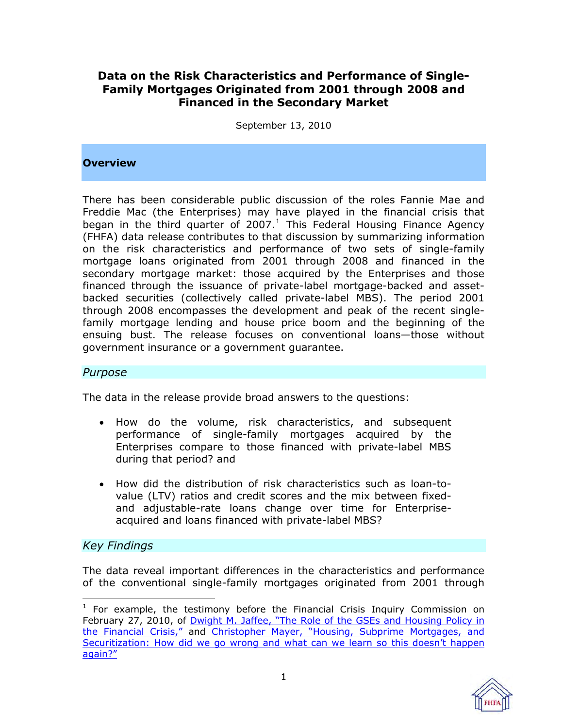# **Data on the Risk Characteristics and Performance of Single-Family Mortgages Originated from 2001 through 2008 and Financed in the Secondary Market**

September 13, 2010

#### **Overview**

There has been considerable public discussion of the roles Fannie Mae and Freddie Mac (the Enterprises) may have played in the financial crisis that began in the third quarter of 2007. $<sup>1</sup>$  This Federal Housing Finance Agency</sup> (FHFA) data release contributes to that discussion by summarizing information on the risk characteristics and performance of two sets of single-family mortgage loans originated from 2001 through 2008 and financed in the secondary mortgage market: those acquired by the Enterprises and those financed through the issuance of private-label mortgage-backed and assetbacked securities (collectively called private-label MBS). The period 2001 through 2008 encompasses the development and peak of the recent singlefamily mortgage lending and house price boom and the beginning of the ensuing bust. The release focuses on conventional loans—those without government insurance or a government guarantee.

#### *Purpose*

The data in the release provide broad answers to the questions:

- How do the volume, risk characteristics, and subsequent performance of single-family mortgages acquired by the Enterprises compare to those financed with private-label MBS during that period? and
- How did the distribution of risk characteristics such as loan-tovalue (LTV) ratios and credit scores and the mix between fixedand adjustable-rate loans change over time for Enterpriseacquired and loans financed with private-label MBS?

#### *Key Findings*

The data reveal important differences in the characteristics and performance of the conventional single-family mortgages originated from 2001 through

 $\overline{a}$ <sup>1</sup> For example, the testimony before the Financial Crisis Inquiry Commission on February 27, 2010, of Dwight M. Jaffee, "The Role of the GSEs and Housing Policy in [the Financial Crisis,"](http://www.fcic.gov/hearings/pdfs/2010-0227-Jaffee.pdf) and Christopher Mayer, "Housing, Subprime Mortgages, and [Securitization: How did we go wrong and what can we learn so this doesn't happen](http://www.fcic.gov/hearings/pdfs/2010-0227-Mayer.pdf)  [again?"](http://www.fcic.gov/hearings/pdfs/2010-0227-Mayer.pdf)

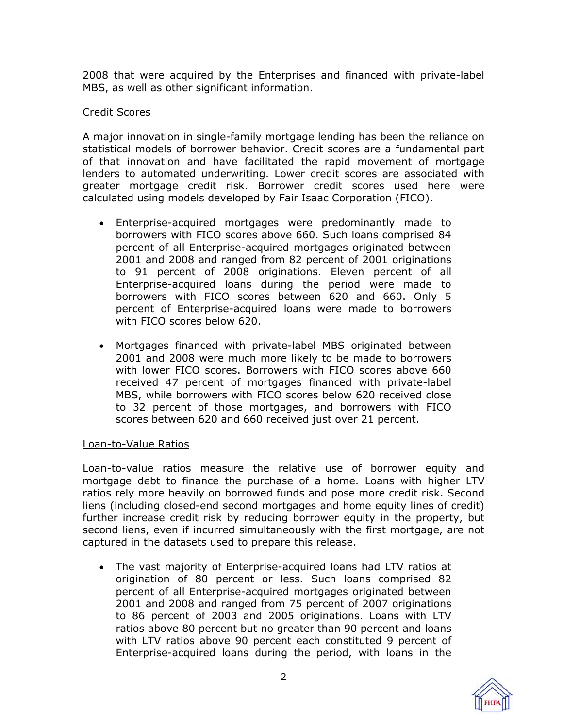2008 that were acquired by the Enterprises and financed with private-label MBS, as well as other significant information.

#### Credit Scores

A major innovation in single-family mortgage lending has been the reliance on statistical models of borrower behavior. Credit scores are a fundamental part of that innovation and have facilitated the rapid movement of mortgage lenders to automated underwriting. Lower credit scores are associated with greater mortgage credit risk. Borrower credit scores used here were calculated using models developed by Fair Isaac Corporation (FICO).

- Enterprise-acquired mortgages were predominantly made to borrowers with FICO scores above 660. Such loans comprised 84 percent of all Enterprise-acquired mortgages originated between 2001 and 2008 and ranged from 82 percent of 2001 originations to 91 percent of 2008 originations. Eleven percent of all Enterprise-acquired loans during the period were made to borrowers with FICO scores between 620 and 660. Only 5 percent of Enterprise-acquired loans were made to borrowers with FICO scores below 620.
- Mortgages financed with private-label MBS originated between 2001 and 2008 were much more likely to be made to borrowers with lower FICO scores. Borrowers with FICO scores above 660 received 47 percent of mortgages financed with private-label MBS, while borrowers with FICO scores below 620 received close to 32 percent of those mortgages, and borrowers with FICO scores between 620 and 660 received just over 21 percent.

#### Loan-to-Value Ratios

Loan-to-value ratios measure the relative use of borrower equity and mortgage debt to finance the purchase of a home. Loans with higher LTV ratios rely more heavily on borrowed funds and pose more credit risk. Second liens (including closed-end second mortgages and home equity lines of credit) further increase credit risk by reducing borrower equity in the property, but second liens, even if incurred simultaneously with the first mortgage, are not captured in the datasets used to prepare this release.

 The vast majority of Enterprise-acquired loans had LTV ratios at origination of 80 percent or less. Such loans comprised 82 percent of all Enterprise-acquired mortgages originated between 2001 and 2008 and ranged from 75 percent of 2007 originations to 86 percent of 2003 and 2005 originations. Loans with LTV ratios above 80 percent but no greater than 90 percent and loans with LTV ratios above 90 percent each constituted 9 percent of Enterprise-acquired loans during the period, with loans in the

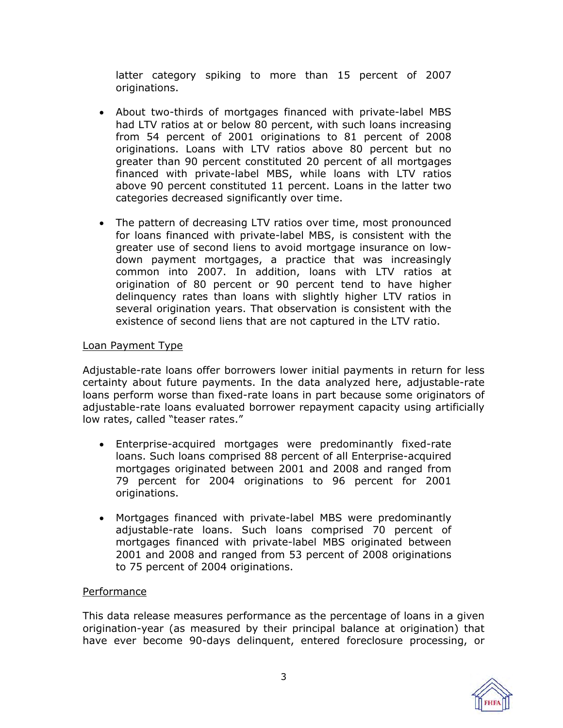latter category spiking to more than 15 percent of 2007 originations.

- About two-thirds of mortgages financed with private-label MBS had LTV ratios at or below 80 percent, with such loans increasing from 54 percent of 2001 originations to 81 percent of 2008 originations. Loans with LTV ratios above 80 percent but no greater than 90 percent constituted 20 percent of all mortgages financed with private-label MBS, while loans with LTV ratios above 90 percent constituted 11 percent. Loans in the latter two categories decreased significantly over time.
- The pattern of decreasing LTV ratios over time, most pronounced for loans financed with private-label MBS, is consistent with the greater use of second liens to avoid mortgage insurance on lowdown payment mortgages, a practice that was increasingly common into 2007. In addition, loans with LTV ratios at origination of 80 percent or 90 percent tend to have higher delinquency rates than loans with slightly higher LTV ratios in several origination years. That observation is consistent with the existence of second liens that are not captured in the LTV ratio.

#### Loan Payment Type

Adjustable-rate loans offer borrowers lower initial payments in return for less certainty about future payments. In the data analyzed here, adjustable-rate loans perform worse than fixed-rate loans in part because some originators of adjustable-rate loans evaluated borrower repayment capacity using artificially low rates, called "teaser rates."

- Enterprise-acquired mortgages were predominantly fixed-rate loans. Such loans comprised 88 percent of all Enterprise-acquired mortgages originated between 2001 and 2008 and ranged from 79 percent for 2004 originations to 96 percent for 2001 originations.
- Mortgages financed with private-label MBS were predominantly adjustable-rate loans. Such loans comprised 70 percent of mortgages financed with private-label MBS originated between 2001 and 2008 and ranged from 53 percent of 2008 originations to 75 percent of 2004 originations.

#### Performance

This data release measures performance as the percentage of loans in a given origination-year (as measured by their principal balance at origination) that have ever become 90-days delinquent, entered foreclosure processing, or

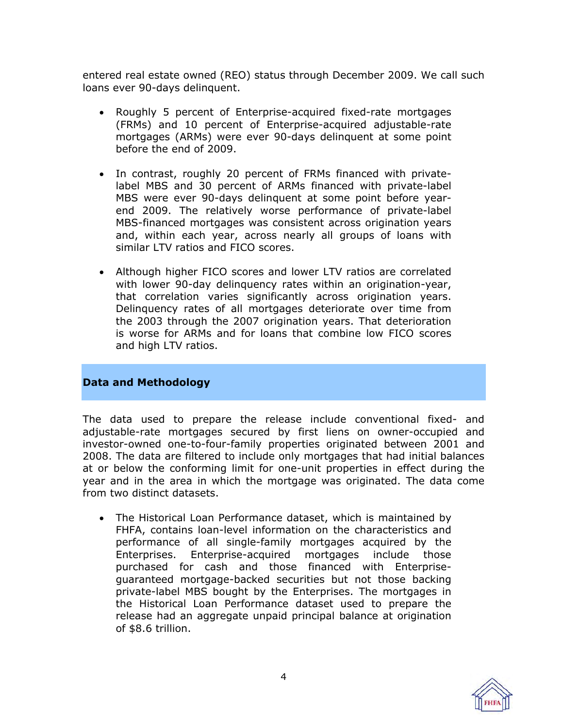entered real estate owned (REO) status through December 2009. We call such loans ever 90-days delinquent.

- Roughly 5 percent of Enterprise-acquired fixed-rate mortgages (FRMs) and 10 percent of Enterprise-acquired adjustable-rate mortgages (ARMs) were ever 90-days delinquent at some point before the end of 2009.
- In contrast, roughly 20 percent of FRMs financed with privatelabel MBS and 30 percent of ARMs financed with private-label MBS were ever 90-days delinquent at some point before yearend 2009. The relatively worse performance of private-label MBS-financed mortgages was consistent across origination years and, within each year, across nearly all groups of loans with similar LTV ratios and FICO scores.
- Although higher FICO scores and lower LTV ratios are correlated with lower 90-day delinquency rates within an origination-year, that correlation varies significantly across origination years. Delinquency rates of all mortgages deteriorate over time from the 2003 through the 2007 origination years. That deterioration is worse for ARMs and for loans that combine low FICO scores and high LTV ratios.

#### **Data and Methodology**

The data used to prepare the release include conventional fixed- and adjustable-rate mortgages secured by first liens on owner-occupied and investor-owned one-to-four-family properties originated between 2001 and 2008. The data are filtered to include only mortgages that had initial balances at or below the conforming limit for one-unit properties in effect during the year and in the area in which the mortgage was originated. The data come from two distinct datasets.

 The Historical Loan Performance dataset, which is maintained by FHFA, contains loan-level information on the characteristics and performance of all single-family mortgages acquired by the Enterprises. Enterprise-acquired mortgages include those purchased for cash and those financed with Enterpriseguaranteed mortgage-backed securities but not those backing private-label MBS bought by the Enterprises. The mortgages in the Historical Loan Performance dataset used to prepare the release had an aggregate unpaid principal balance at origination of \$8.6 trillion.

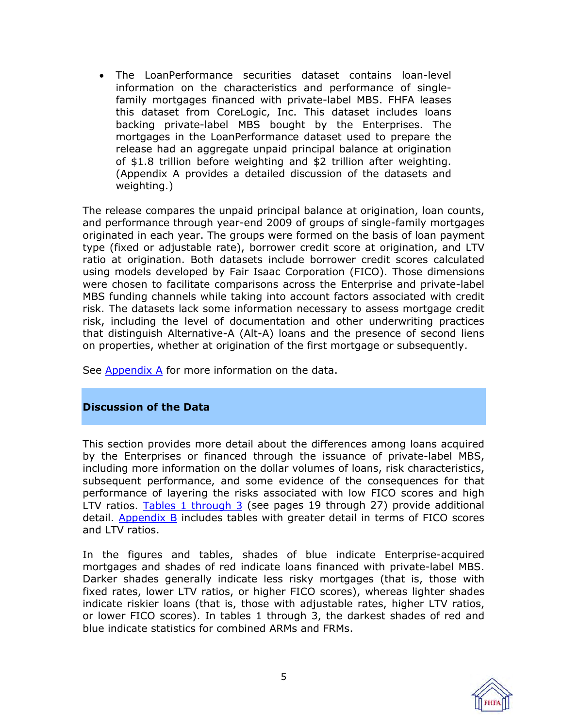The LoanPerformance securities dataset contains loan-level information on the characteristics and performance of singlefamily mortgages financed with private-label MBS. FHFA leases this dataset from CoreLogic, Inc. This dataset includes loans backing private-label MBS bought by the Enterprises. The mortgages in the LoanPerformance dataset used to prepare the release had an aggregate unpaid principal balance at origination of \$1.8 trillion before weighting and \$2 trillion after weighting. (Appendix A provides a detailed discussion of the datasets and weighting.)

The release compares the unpaid principal balance at origination, loan counts, and performance through year-end 2009 of groups of single-family mortgages originated in each year. The groups were formed on the basis of loan payment type (fixed or adjustable rate), borrower credit score at origination, and LTV ratio at origination. Both datasets include borrower credit scores calculated using models developed by Fair Isaac Corporation (FICO). Those dimensions were chosen to facilitate comparisons across the Enterprise and private-label MBS funding channels while taking into account factors associated with credit risk. The datasets lack some information necessary to assess mortgage credit risk, including the level of documentation and other underwriting practices that distinguish Alternative-A (Alt-A) loans and the presence of second liens on properties, whether at origination of the first mortgage or subsequently.

See [Appendix A](#page-27-0) for more information on the data.

#### **Discussion of the Data**

This section provides more detail about the differences among loans acquired by the Enterprises or financed through the issuance of private-label MBS, including more information on the dollar volumes of loans, risk characteristics, subsequent performance, and some evidence of the consequences for that performance of layering the risks associated with low FICO scores and high LTV ratios.  $Tables$  1 through  $3$  (see pages 19 through 27) provide additional detail. [Appendix B i](#page-33-0)ncludes tables with greater detail in terms of FICO scores and LTV ratios.

In the figures and tables, shades of blue indicate Enterprise-acquired mortgages and shades of red indicate loans financed with private-label MBS. Darker shades generally indicate less risky mortgages (that is, those with fixed rates, lower LTV ratios, or higher FICO scores), whereas lighter shades indicate riskier loans (that is, those with adjustable rates, higher LTV ratios, or lower FICO scores). In tables 1 through 3, the darkest shades of red and blue indicate statistics for combined ARMs and FRMs.

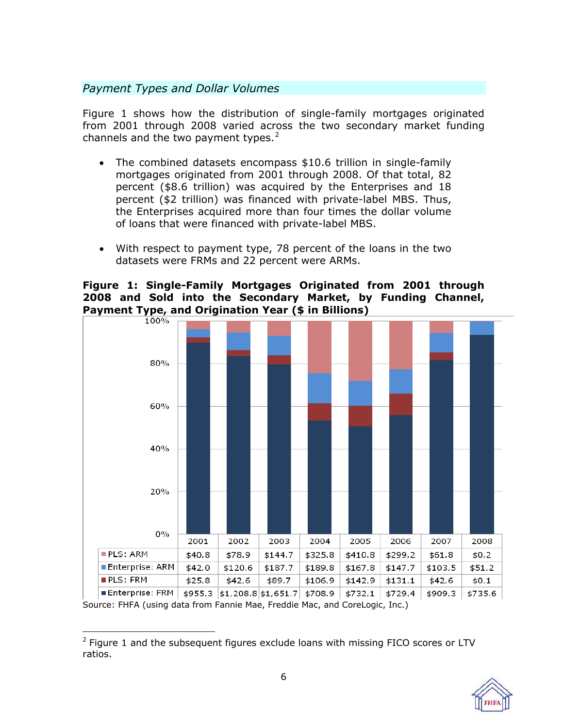# *Payment Types and Dollar Volumes*

Figure 1 shows how the distribution of single-family mortgages originated from 2001 through 2008 varied across the two secondary market funding channels and the two payment types. $2^2$ 

- The combined datasets encompass \$10.6 trillion in single-family mortgages originated from 2001 through 2008. Of that total, 82 percent (\$8.6 trillion) was acquired by the Enterprises and 18 percent (\$2 trillion) was financed with private-label MBS. Thus, the Enterprises acquired more than four times the dollar volume of loans that were financed with private-label MBS.
- With respect to payment type, 78 percent of the loans in the two datasets were FRMs and 22 percent were ARMs.

# **Figure 1: Single-Family Mortgages Originated from 2001 through 2008 and Sold into the Secondary Market, by Funding Channel, Payment Type, and Origination Year (\$ in Billions)**



 $\overline{a}$  $2$  Figure 1 and the subsequent figures exclude loans with missing FICO scores or LTV ratios.

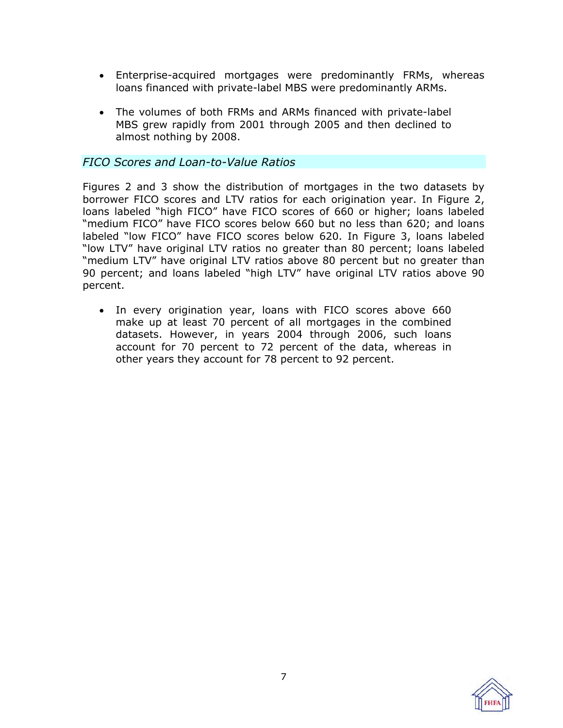- Enterprise-acquired mortgages were predominantly FRMs, whereas loans financed with private-label MBS were predominantly ARMs.
- The volumes of both FRMs and ARMs financed with private-label MBS grew rapidly from 2001 through 2005 and then declined to almost nothing by 2008.

### *FICO Scores and Loan-to-Value Ratios*

Figures 2 and 3 show the distribution of mortgages in the two datasets by borrower FICO scores and LTV ratios for each origination year. In Figure 2, loans labeled "high FICO" have FICO scores of 660 or higher; loans labeled "medium FICO" have FICO scores below 660 but no less than 620; and loans labeled "low FICO" have FICO scores below 620. In Figure 3, loans labeled "low LTV" have original LTV ratios no greater than 80 percent; loans labeled "medium LTV" have original LTV ratios above 80 percent but no greater than 90 percent; and loans labeled "high LTV" have original LTV ratios above 90 percent.

 In every origination year, loans with FICO scores above 660 make up at least 70 percent of all mortgages in the combined datasets. However, in years 2004 through 2006, such loans account for 70 percent to 72 percent of the data, whereas in other years they account for 78 percent to 92 percent.

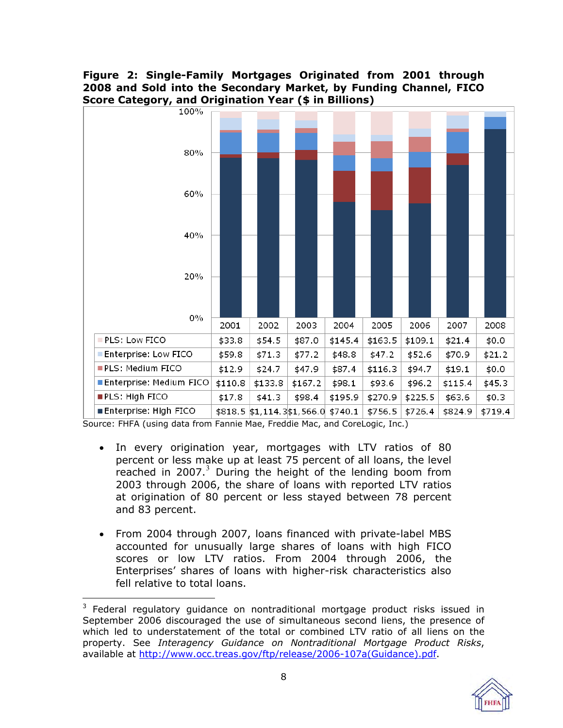# **Figure 2: Single-Family Mortgages Originated from 2001 through 2008 and Sold into the Secondary Market, by Funding Channel, FICO Score Category, and Origination Year (\$ in Billions)**



- In every origination year, mortgages with LTV ratios of 80 percent or less make up at least 75 percent of all loans, the level reached in 2007. $3$  During the height of the lending boom from 2003 through 2006, the share of loans with reported LTV ratios at origination of 80 percent or less stayed between 78 percent and 83 percent.
- From 2004 through 2007, loans financed with private-label MBS accounted for unusually large shares of loans with high FICO scores or low LTV ratios. From 2004 through 2006, the Enterprises' shares of loans with higher-risk characteristics also fell relative to total loans.

<sup>&</sup>lt;u>2008 - 2008 - 2008 - 2014</u><br><sup>3</sup> Federal regulatory guidance on nontraditional mortgage product risks issued in September 2006 discouraged the use of simultaneous second liens, the presence of which led to understatement of the total or combined LTV ratio of all liens on the property. See *Interagency Guidance on Nontraditional Mortgage Product Risks*, available at [http://www.occ.treas.gov/ftp/release/2006-107a\(Guidance\).pdf.](http://www.occ.treas.gov/ftp/release/2006-107a(Guidance).pdf)

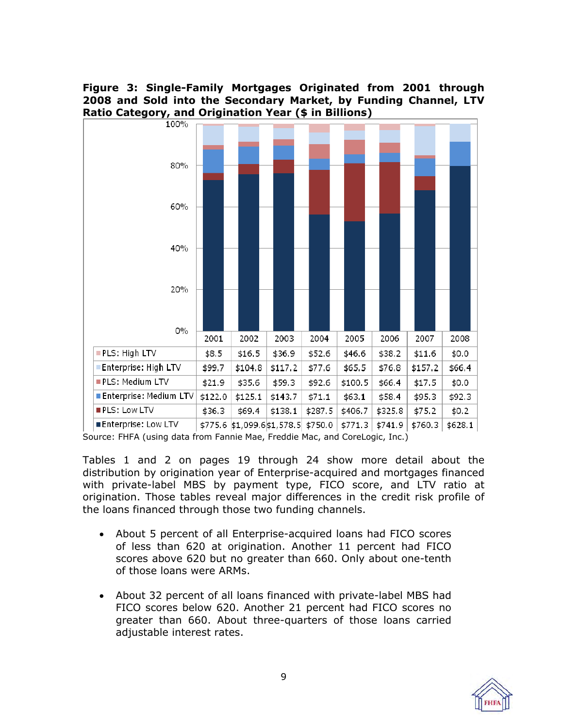**Figure 3: Single-Family Mortgages Originated from 2001 through 2008 and Sold into the Secondary Market, by Funding Channel, LTV Ratio Category, and Origination Year (\$ in Billions)** 



Source: FHFA (using data from Fannie Mae, Freddie Mac, and CoreLogic, Inc.)

Tables 1 and 2 on pages 19 through 24 show more detail about the distribution by origination year of Enterprise-acquired and mortgages financed with private-label MBS by payment type, FICO score, and LTV ratio at origination. Those tables reveal major differences in the credit risk profile of the loans financed through those two funding channels.

- About 5 percent of all Enterprise-acquired loans had FICO scores of less than 620 at origination. Another 11 percent had FICO scores above 620 but no greater than 660. Only about one-tenth of those loans were ARMs.
- About 32 percent of all loans financed with private-label MBS had FICO scores below 620. Another 21 percent had FICO scores no greater than 660. About three-quarters of those loans carried adjustable interest rates.

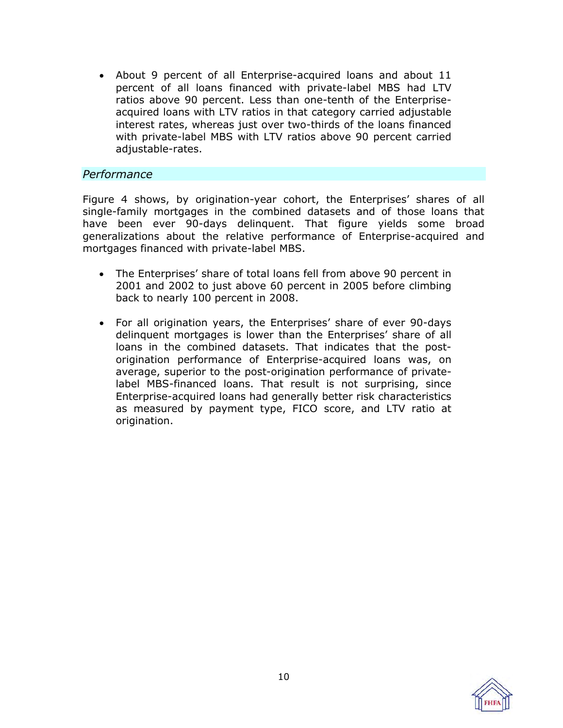About 9 percent of all Enterprise-acquired loans and about 11 percent of all loans financed with private-label MBS had LTV ratios above 90 percent. Less than one-tenth of the Enterpriseacquired loans with LTV ratios in that category carried adjustable interest rates, whereas just over two-thirds of the loans financed with private-label MBS with LTV ratios above 90 percent carried adjustable-rates.

#### *Performance*

Figure 4 shows, by origination-year cohort, the Enterprises' shares of all single-family mortgages in the combined datasets and of those loans that have been ever 90-days delinquent. That figure yields some broad generalizations about the relative performance of Enterprise-acquired and mortgages financed with private-label MBS.

- The Enterprises' share of total loans fell from above 90 percent in 2001 and 2002 to just above 60 percent in 2005 before climbing back to nearly 100 percent in 2008.
- For all origination years, the Enterprises' share of ever 90-days delinquent mortgages is lower than the Enterprises' share of all loans in the combined datasets. That indicates that the postorigination performance of Enterprise-acquired loans was, on average, superior to the post-origination performance of privatelabel MBS-financed loans. That result is not surprising, since Enterprise-acquired loans had generally better risk characteristics as measured by payment type, FICO score, and LTV ratio at origination.

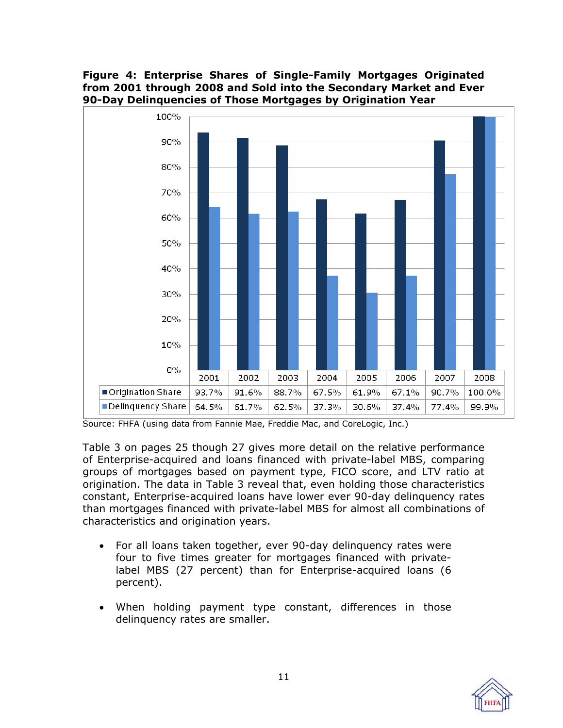### **Figure 4: Enterprise Shares of Single-Family Mortgages Originated from 2001 through 2008 and Sold into the Secondary Market and Ever 90-Day Delinquencies of Those Mortgages by Origination Year**



Source: FHFA (using data from Fannie Mae, Freddie Mac, and CoreLogic, Inc.)

Table 3 on pages 25 though 27 gives more detail on the relative performance of Enterprise-acquired and loans financed with private-label MBS, comparing groups of mortgages based on payment type, FICO score, and LTV ratio at origination. The data in Table 3 reveal that, even holding those characteristics constant, Enterprise-acquired loans have lower ever 90-day delinquency rates than mortgages financed with private-label MBS for almost all combinations of characteristics and origination years.

- For all loans taken together, ever 90-day delinquency rates were four to five times greater for mortgages financed with privatelabel MBS (27 percent) than for Enterprise-acquired loans (6 percent).
- When holding payment type constant, differences in those delinquency rates are smaller.

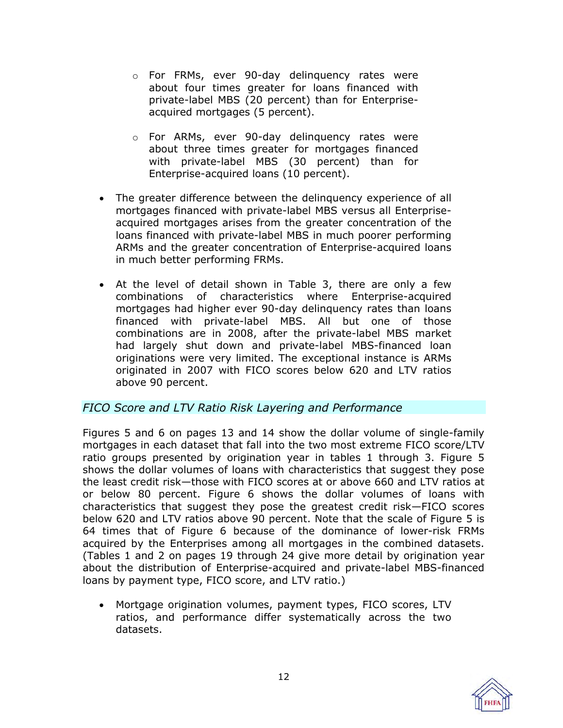- o For FRMs, ever 90-day delinquency rates were about four times greater for loans financed with private-label MBS (20 percent) than for Enterpriseacquired mortgages (5 percent).
- o For ARMs, ever 90-day delinquency rates were about three times greater for mortgages financed with private-label MBS (30 percent) than for Enterprise-acquired loans (10 percent).
- The greater difference between the delinquency experience of all mortgages financed with private-label MBS versus all Enterpriseacquired mortgages arises from the greater concentration of the loans financed with private-label MBS in much poorer performing ARMs and the greater concentration of Enterprise-acquired loans in much better performing FRMs.
- At the level of detail shown in Table 3, there are only a few combinations of characteristics where Enterprise-acquired mortgages had higher ever 90-day delinquency rates than loans financed with private-label MBS. All but one of those combinations are in 2008, after the private-label MBS market had largely shut down and private-label MBS-financed loan originations were very limited. The exceptional instance is ARMs originated in 2007 with FICO scores below 620 and LTV ratios above 90 percent.

# *FICO Score and LTV Ratio Risk Layering and Performance*

Figures 5 and 6 on pages 13 and 14 show the dollar volume of single-family mortgages in each dataset that fall into the two most extreme FICO score/LTV ratio groups presented by origination year in tables 1 through 3. Figure 5 shows the dollar volumes of loans with characteristics that suggest they pose the least credit risk—those with FICO scores at or above 660 and LTV ratios at or below 80 percent. Figure 6 shows the dollar volumes of loans with characteristics that suggest they pose the greatest credit risk—FICO scores below 620 and LTV ratios above 90 percent. Note that the scale of Figure 5 is 64 times that of Figure 6 because of the dominance of lower-risk FRMs acquired by the Enterprises among all mortgages in the combined datasets. (Tables 1 and 2 on pages 19 through 24 give more detail by origination year about the distribution of Enterprise-acquired and private-label MBS-financed loans by payment type, FICO score, and LTV ratio.)

 Mortgage origination volumes, payment types, FICO scores, LTV ratios, and performance differ systematically across the two datasets.

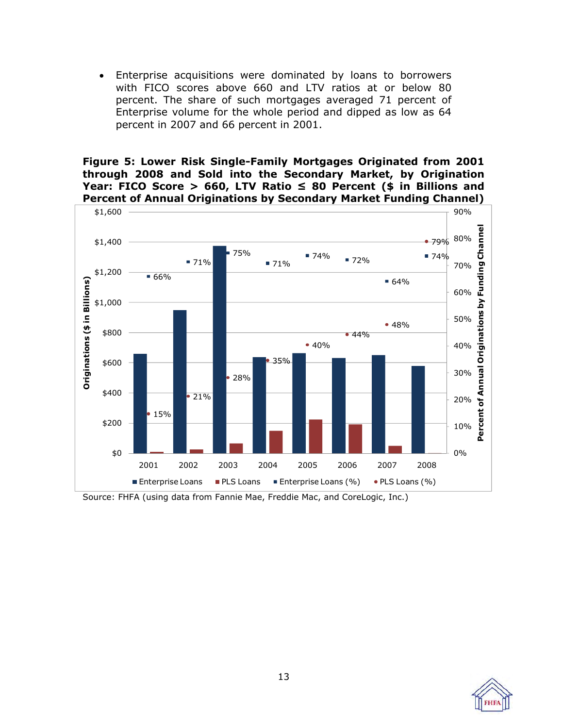Enterprise acquisitions were dominated by loans to borrowers with FICO scores above 660 and LTV ratios at or below 80 percent. The share of such mortgages averaged 71 percent of Enterprise volume for the whole period and dipped as low as 64 percent in 2007 and 66 percent in 2001.

**Figure 5: Lower Risk Single-Family Mortgages Originated from 2001 through 2008 and Sold into the Secondary Market, by Origination Year: FICO Score > 660, LTV Ratio ≤ 80 Percent (\$ in Billions and Percent of Annual Originations by Secondary Market Funding Channel)** 



Source: FHFA (using data from Fannie Mae, Freddie Mac, and CoreLogic, Inc.)

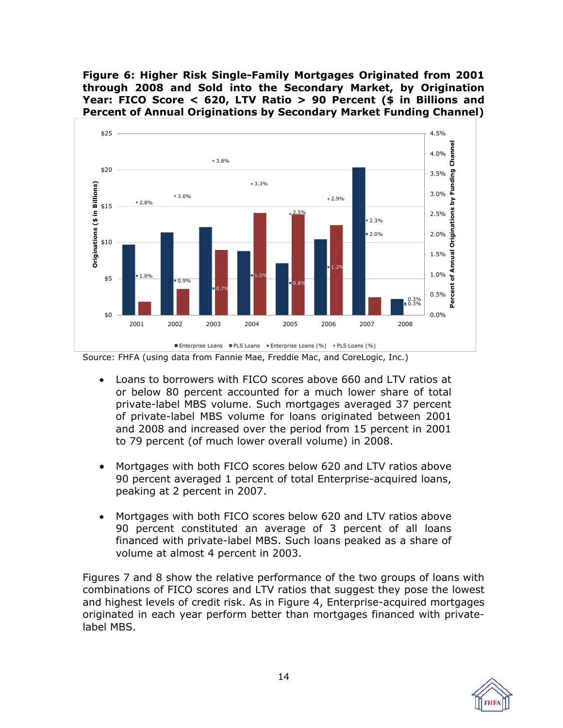**Figure 6: Higher Risk Single-Family Mortgages Originated from 2001 through 2008 and Sold into the Secondary Market, by Origination Year: FICO Score < 620, LTV Ratio > 90 Percent (\$ in Billions and Percent of Annual Originations by Secondary Market Funding Channel)** 





- Loans to borrowers with FICO scores above 660 and LTV ratios at or below 80 percent accounted for a much lower share of total private-label MBS volume. Such mortgages averaged 37 percent of private-label MBS volume for loans originated between 2001 and 2008 and increased over the period from 15 percent in 2001 to 79 percent (of much lower overall volume) in 2008.
- Mortgages with both FICO scores below 620 and LTV ratios above 90 percent averaged 1 percent of total Enterprise-acquired loans, peaking at 2 percent in 2007.
- Mortgages with both FICO scores below 620 and LTV ratios above 90 percent constituted an average of 3 percent of all loans financed with private-label MBS. Such loans peaked as a share of volume at almost 4 percent in 2003.

Figures 7 and 8 show the relative performance of the two groups of loans with combinations of FICO scores and LTV ratios that suggest they pose the lowest and highest levels of credit risk. As in Figure 4, Enterprise-acquired mortgages originated in each year perform better than mortgages financed with privatelabel MBS.

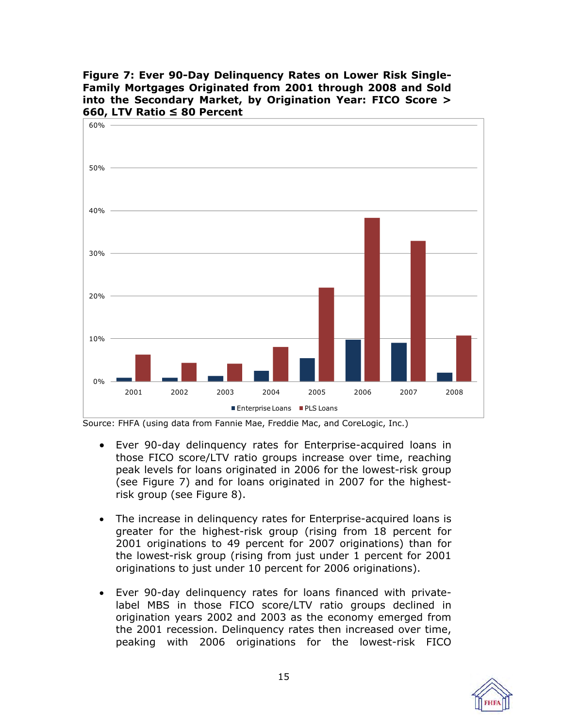**Figure 7: Ever 90-Day Delinquency Rates on Lower Risk Single-Family Mortgages Originated from 2001 through 2008 and Sold into the Secondary Market, by Origination Year: FICO Score > 660, LTV Ratio ≤ 80 Percent** 



- Ever 90-day delinquency rates for Enterprise-acquired loans in those FICO score/LTV ratio groups increase over time, reaching peak levels for loans originated in 2006 for the lowest-risk group (see Figure 7) and for loans originated in 2007 for the highestrisk group (see Figure 8).
- The increase in delinquency rates for Enterprise-acquired loans is greater for the highest-risk group (rising from 18 percent for 2001 originations to 49 percent for 2007 originations) than for the lowest-risk group (rising from just under 1 percent for 2001 originations to just under 10 percent for 2006 originations).
- Ever 90-day delinquency rates for loans financed with privatelabel MBS in those FICO score/LTV ratio groups declined in origination years 2002 and 2003 as the economy emerged from the 2001 recession. Delinquency rates then increased over time, peaking with 2006 originations for the lowest-risk FICO

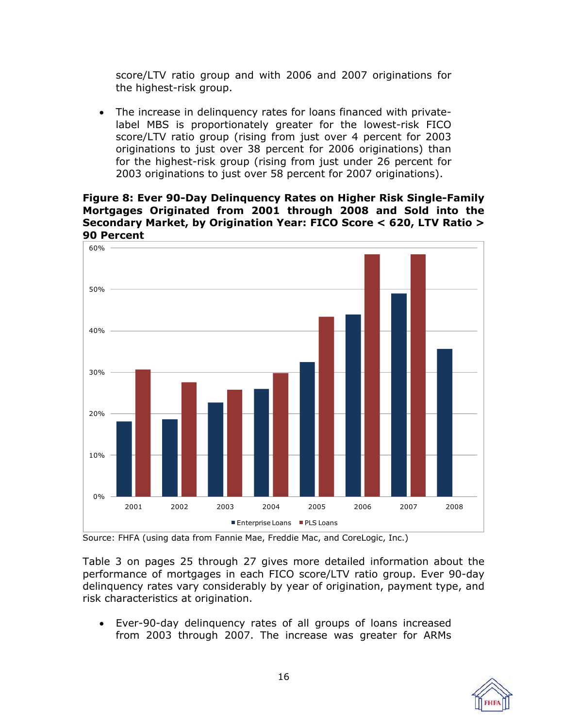score/LTV ratio group and with 2006 and 2007 originations for the highest-risk group.

 The increase in delinquency rates for loans financed with privatelabel MBS is proportionately greater for the lowest-risk FICO score/LTV ratio group (rising from just over 4 percent for 2003 originations to just over 38 percent for 2006 originations) than for the highest-risk group (rising from just under 26 percent for 2003 originations to just over 58 percent for 2007 originations).

#### **Figure 8: Ever 90-Day Delinquency Rates on Higher Risk Single-Family Mortgages Originated from 2001 through 2008 and Sold into the Secondary Market, by Origination Year: FICO Score < 620, LTV Ratio > 90 Percent**



Source: FHFA (using data from Fannie Mae, Freddie Mac, and CoreLogic, Inc.)

Table 3 on pages 25 through 27 gives more detailed information about the performance of mortgages in each FICO score/LTV ratio group. Ever 90-day delinquency rates vary considerably by year of origination, payment type, and risk characteristics at origination.

 Ever-90-day delinquency rates of all groups of loans increased from 2003 through 2007. The increase was greater for ARMs

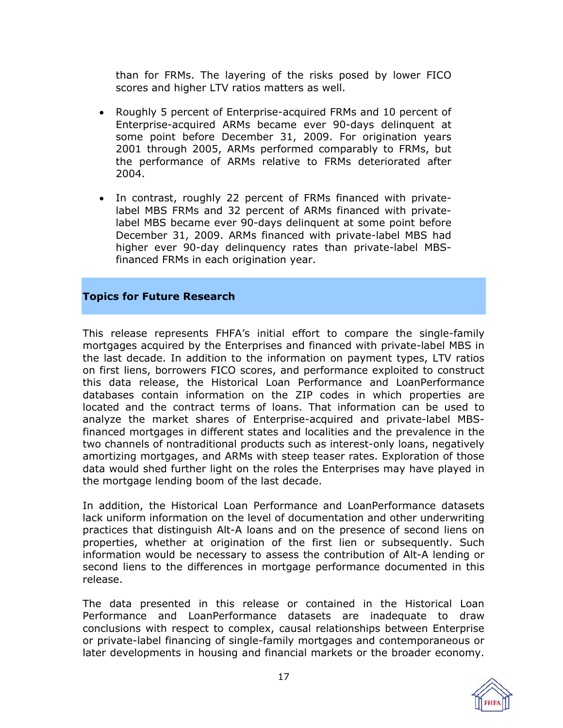than for FRMs. The layering of the risks posed by lower FICO scores and higher LTV ratios matters as well.

- Roughly 5 percent of Enterprise-acquired FRMs and 10 percent of Enterprise-acquired ARMs became ever 90-days delinquent at some point before December 31, 2009. For origination years 2001 through 2005, ARMs performed comparably to FRMs, but the performance of ARMs relative to FRMs deteriorated after 2004.
- In contrast, roughly 22 percent of FRMs financed with privatelabel MBS FRMs and 32 percent of ARMs financed with privatelabel MBS became ever 90-days delinquent at some point before December 31, 2009. ARMs financed with private-label MBS had higher ever 90-day delinquency rates than private-label MBSfinanced FRMs in each origination year.

#### **Topics for Future Research**

This release represents FHFA's initial effort to compare the single-family mortgages acquired by the Enterprises and financed with private-label MBS in the last decade. In addition to the information on payment types, LTV ratios on first liens, borrowers FICO scores, and performance exploited to construct this data release, the Historical Loan Performance and LoanPerformance databases contain information on the ZIP codes in which properties are located and the contract terms of loans. That information can be used to analyze the market shares of Enterprise-acquired and private-label MBSfinanced mortgages in different states and localities and the prevalence in the two channels of nontraditional products such as interest-only loans, negatively amortizing mortgages, and ARMs with steep teaser rates. Exploration of those data would shed further light on the roles the Enterprises may have played in the mortgage lending boom of the last decade.

In addition, the Historical Loan Performance and LoanPerformance datasets lack uniform information on the level of documentation and other underwriting practices that distinguish Alt-A loans and on the presence of second liens on properties, whether at origination of the first lien or subsequently. Such information would be necessary to assess the contribution of Alt-A lending or second liens to the differences in mortgage performance documented in this release.

The data presented in this release or contained in the Historical Loan Performance and LoanPerformance datasets are inadequate to draw conclusions with respect to complex, causal relationships between Enterprise or private-label financing of single-family mortgages and contemporaneous or later developments in housing and financial markets or the broader economy.

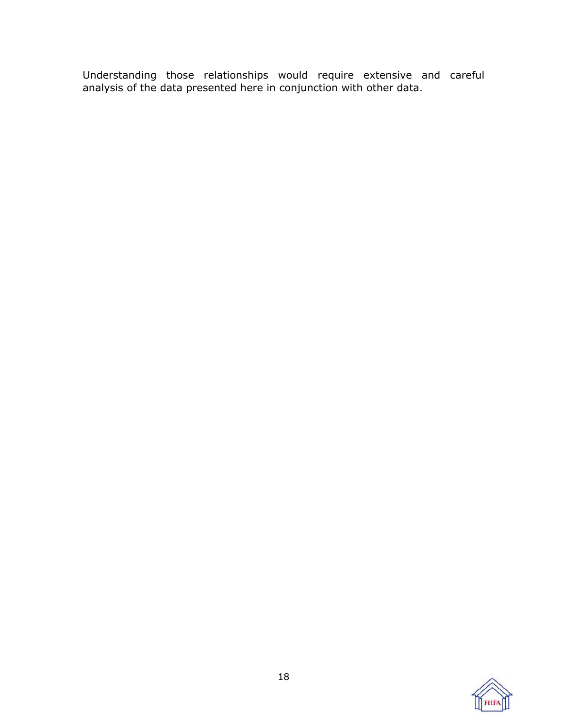Understanding those relationships would require extensive and careful analysis of the data presented here in conjunction with other data.

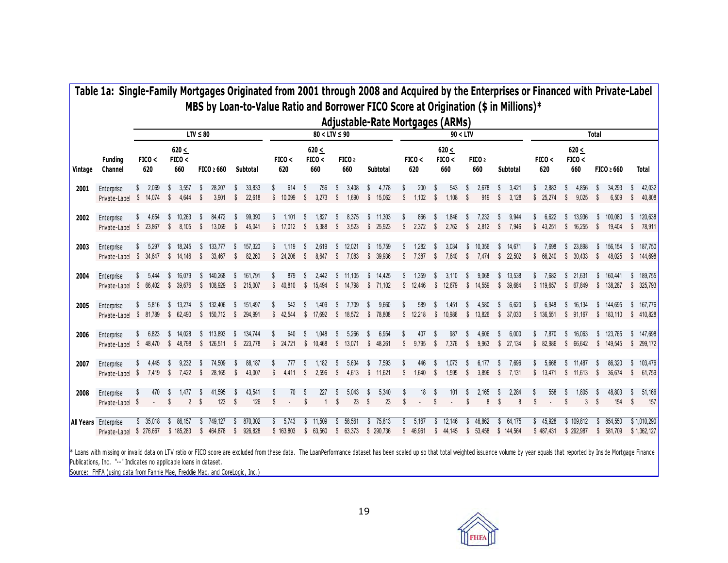|         |                                                         |               |                                 | $LTV \leq 80$          |                      |                                        |                                                |                    | $80 < LTV \leq 90$     |                                |                          |    |                        |          |                   |                      | 90 < LTV                   |               |                          |                |                       |    |                       |                    |                            | <b>Total</b>   |                       |                    |                            |
|---------|---------------------------------------------------------|---------------|---------------------------------|------------------------|----------------------|----------------------------------------|------------------------------------------------|--------------------|------------------------|--------------------------------|--------------------------|----|------------------------|----------|-------------------|----------------------|----------------------------|---------------|--------------------------|----------------|-----------------------|----|-----------------------|--------------------|----------------------------|----------------|-----------------------|--------------------|----------------------------|
| Vintage | <b>Funding</b><br>Channel                               | FICO <<br>620 | $620 \leq$<br>FICO <<br>660     | $FICO \geq 660$        |                      | Subtotal                               | FICO <<br>620                                  |                    | 620 <<br>FICO <<br>660 |                                | FICO <sub>2</sub><br>660 |    | Subtotal               |          | FICO <<br>620     |                      | $620 \le$<br>FICO <<br>660 |               | FICO <sub>2</sub><br>660 |                | Subtotal              |    | FICO <<br>620         |                    | $620 \le$<br>FICO <<br>660 |                | $FICO \geq 660$       |                    | Total                      |
| 2001    | Enterprise<br>Private-Label \$ 14,074                   | 2,069<br>S.   | 3,557<br>- S<br>4,644<br>$\int$ | -S<br>-S               | 28,207<br>3,901      | 33,833<br>S<br>22,618<br>S.            | 614<br>S<br>10,099<br>$\mathbb{S}$             | S                  | 756<br>3,273           | s<br>$\boldsymbol{\mathsf{s}}$ | 3.408<br>1,690           | S  | 4.778<br>\$15,062      | S        | 200<br>1,102      | -S<br>-S             | 543<br>1,108               | S<br>S        | 2,678<br>919             | -S<br><b>S</b> | 3,421<br>3,128        | s. | 2.883<br>\$25.274     | -S<br>$\mathsf{s}$ | 4.856<br>9.025             | S              | 34.293<br>6,509       | $\mathbb{S}$       | 42,032<br>40,808           |
| 2002    | Enterprise<br>Private-Label \$ 23,867                   | 4,654<br>\$   | \$10.263<br>8,105<br>$\sqrt{S}$ | $\mathbb{S}$           | 84,472<br>13,069     | 99,390<br>45,041<br>-S                 | 1,101<br>\$17,012                              | -S                 | 1.827<br>5,388         | S.                             | 8.375<br>3,523           |    | \$11,303<br>\$25,923   | -S       | 866<br>2,372      | - S                  | 1.846<br>2,762             | -S            | 7.232<br>2,812           | $\sqrt{S}$     | 9.944<br>7,946        |    | 6.622<br>\$43,251     |                    | \$ 13.936<br>\$ 16,255     | s.<br>S.       | 100.080<br>19,404     | -S                 | 120,638<br>78,911          |
| 2003    | Enterprise<br>Private-Label \$ 34,647 \$ 14,146         | 5,297         | \$ 18,245                       | - \$<br>$\mathbf{s}$   | 133,777 \$<br>33.467 | 157,320<br>82.260<br>-S                | 1,119<br>\$24.206                              | -S<br>$\mathbf{s}$ | 2,619<br>8.647         | S.<br>S.                       | 12,021<br>7.083          |    | \$ 15,759<br>\$ 39.936 | S.       | 1,282<br>7.387    | - \$<br>$\mathbb{S}$ | 3,034<br>7.640             | S.<br>S.      | 10,356<br>7.474          | -S             | 14,671<br>\$22.502    | s. | 7,698<br>\$66.240     |                    | \$23,898<br>\$30.433       | S.<br><b>S</b> | 156,154<br>48.025     | S<br>$\mathbb{S}$  | 187,750<br>144.698         |
| 2004    | Enterprise<br>Private-Label \$ 66,402 \$ 39,676         | 5.444         | \$ 16,079                       | \$140,268              |                      | 161,791<br>-S<br>\$ 108,929 \$ 215,007 | 879<br>\$ 40.810 \$ 15.494 \$ 14.798 \$ 71.102 | S                  | 2.442                  |                                | \$11,105                 |    | \$14,425               |          | 1,359<br>\$12,446 | S                    | 3,110<br>\$ 12,679         | S             | 9,068<br>\$ 14,559       | \$             | 13.538<br>\$ 39,684   | s. | 7.682<br>\$119,657    |                    | \$21,631<br>\$ 67,849      | s.             | 160.441<br>\$138,287  | S<br>s.            | 189.755<br>325,793         |
| 2005    | Enterprise<br>Private-Label \$ 81,789                   | 5,816         | \$ 13,274<br>\$ 62,490          | \$ 132,406             | $$150,712$ \$        | 151,497<br>- \$<br>294,991             | 542<br>\$42,544                                | S                  | 1,409<br>\$ 17,692     | S                              | 7,709<br>\$ 18,572       | S. | 9,660<br>\$ 78,808     |          | 589<br>\$12,218   |                      | 1,451<br>\$ 10,986         | -S            | 4,580<br>\$ 13,826       | S              | 6,620<br>\$ 37,030    |    | 6,948<br>\$136,551    | s.                 | 16,134<br>\$91,167         | S              | 144.695<br>\$ 183,110 | S<br>s.            | 167,776<br>410,828         |
| 2006    | Enterprise<br>Private-Label \$ 48,470 \$ 48,798         | 6.823         | \$14,028                        | \$113,893              | $$126,511$ \$        | 134,744<br>- \$<br>223,778             | 640<br>\$24,721                                |                    | 1.048<br>\$10,468      | S                              | 5.266<br>\$13,071        | S  | 6,954<br>\$48,261      | S.       | 407<br>9,795      | -S                   | 987<br>7,376               | S.            | 4.606<br>9,963           | S              | 6.000<br>\$27,134     |    | 7.870<br>\$82,986     | S.                 | 16.063<br>\$66,642         | s.             | 123.765<br>\$ 149,545 | s.<br>\$           | 147,698<br>299,172         |
| 2007    | Enterprise<br>Private-Label \$ 7,419 \$ 7,422           | 4,445         | 9,232<br>-S                     | -S<br>$\mathbb{S}$     | 74,509<br>28,165     | 88,187<br>s<br>43,007<br>-S            | 777<br>4.411<br>\$                             | -S                 | 1,182<br>2,596         | S.<br>-S                       | 5,634<br>4,613           | S. | 7,593<br>\$11,621      | S.       | 446<br>1,640      | -S                   | 1,073<br>1,595             | -S<br>-S      | 6,177<br>3.896           | -\$<br>-S      | 7,696<br>7.131        |    | 5,668<br>\$13.471     |                    | \$11,487<br>\$11.613       | -S<br>s s      | 86,320<br>36.674      | S.<br>-S           | 103,476<br>61,759          |
| 2008    | Enterprise<br>Private-Label \$                          | 470           | 1,477<br>S.<br>$\mathbf{2}$     | - 5<br>$^{\circ}$      | 41.595<br>123        | 43.541<br>S<br>126<br>S                | 70<br>S                                        | $\mathbf{s}$       | 227                    | <sup>\$</sup>                  | 5.043<br>23              | S  | 5.340<br>23            | <b>S</b> | 18                |                      | 101                        | <sup>\$</sup> | 2.165<br>8               | <b>S</b>       | 2.284<br>8            | S. | 558                   | $\mathbf{s}$       | 1.805<br>3                 | S              | 48.803<br>154         | S.<br>$\mathbb{S}$ | 51,166<br>157              |
|         | <b>All Years</b> Enterprise<br>Private-Label \$ 276,667 | \$35,018      | \$86,157<br>\$185,283           | \$749,127<br>\$464,878 |                      | 870,302<br>-S<br>926,828<br>$\sqrt{S}$ | \$5,743<br>\$163,803                           |                    | \$11,509<br>\$63,560   |                                | \$58,561<br>\$63,373     |    | \$75,813<br>\$ 290,736 | S        | 5,167<br>\$46,961 |                      | \$12,146<br>\$44,145       | \$            | 46,862<br>\$53,458       |                | \$64,175<br>\$144,564 |    | \$45,928<br>\$487,431 |                    | \$109,812<br>\$292,987     | S.             | 854,550<br>\$ 581,709 |                    | \$1,010,290<br>\$1,362,127 |

<span id="page-18-0"></span>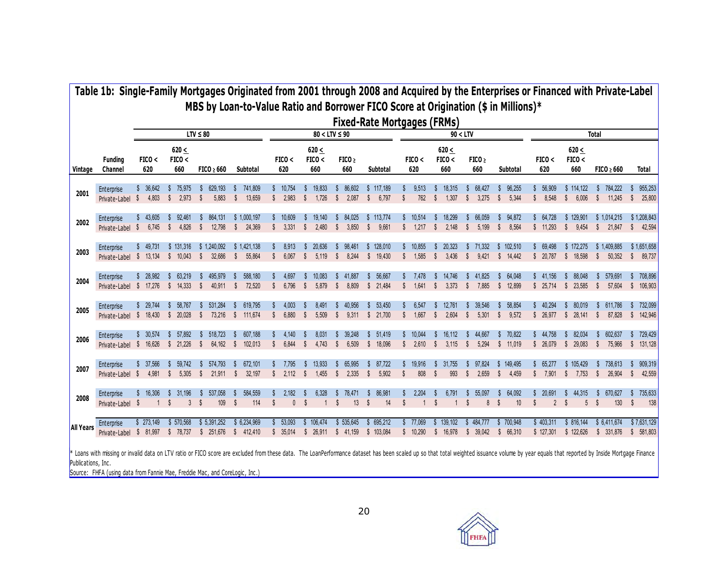|                  | Table 1b: Single-Family Mortgages Originated from 2001 through 2008 and Acquired by the Enterprises or Financed with Private-Label                                                                                                                                      |                   |                             | MBS by Loan-to-Value Ratio and Borrower FICO Score at Origination (\$ in Millions)* |                                              |                                   |                                     |                             | <b>Fixed-Rate Mortgages (FRMs)</b>            |                                    |                                     |                                     |                                       |                                       |                                    |                                        |                                          |
|------------------|-------------------------------------------------------------------------------------------------------------------------------------------------------------------------------------------------------------------------------------------------------------------------|-------------------|-----------------------------|-------------------------------------------------------------------------------------|----------------------------------------------|-----------------------------------|-------------------------------------|-----------------------------|-----------------------------------------------|------------------------------------|-------------------------------------|-------------------------------------|---------------------------------------|---------------------------------------|------------------------------------|----------------------------------------|------------------------------------------|
|                  |                                                                                                                                                                                                                                                                         |                   |                             | $LTV \leq 80$                                                                       |                                              |                                   |                                     | $80 < LTV \leq 90$          |                                               |                                    | 90 < LTV                            |                                     |                                       |                                       |                                    | <b>Total</b>                           |                                          |
| Vintage          | <b>Funding</b><br>Channel                                                                                                                                                                                                                                               | FICO <<br>620     | $620 \leq$<br>FICO <<br>660 | $FICO \geq 660$                                                                     | Subtotal                                     | FICO <<br>620                     | 620 <<br>FICO <<br>660              | FICO <sub>2</sub><br>660    | <b>Subtotal</b>                               | FICO <<br>620                      | $620 \leq$<br>FICO <<br>660         | FICO <sub>2</sub><br>660            | Subtotal                              | FICO <<br>620                         | $620 \leq$<br>FICO <<br>660        | $FICO \geq 660$                        | Total                                    |
| 2001             | Enterprise<br>Private-Label \$                                                                                                                                                                                                                                          | 36,642<br>4.803   | 75,975<br>2.973<br>-S       | 629,193<br>5.883<br>-S                                                              | 741,809<br>S<br>13,659<br>-S                 | 10,754<br>2.983<br>s.             | 19,833<br>$\mathbb{S}$<br>1.726     | 86,602<br>2.087<br>- S      | \$117,189<br>$\mathbb{S}$<br>6,797            | 9,513<br>762<br>S                  | 18,315<br>1.307<br>S.               | 68,427<br>3.275<br>-S               | 96,255<br>5.344<br>S.                 | 56,909<br>8.548<br>s.                 | \$114,122<br>$\mathbb{S}$<br>6.006 | 784,222<br>S.<br>11.245                | 955,253<br>25,800<br>-S                  |
| 2002             | Enterprise<br>Private-Label \$                                                                                                                                                                                                                                          | 43,605<br>6.745   | 92,461<br>4,826<br>-S       | 864,131<br>12,798<br><sup>\$</sup>                                                  | \$1,000,197<br>\$<br>24,369                  | \$10,609<br>3,331<br>$\mathbb{S}$ | 19,140<br>2,480<br>$\mathbb{S}$     | 84,025<br>\$<br>3,850       | \$113,774<br>$\sqrt[6]{\frac{1}{2}}$<br>9,661 | 10,514<br>1.217<br>$\mathsf{s}$    | 18,299<br>2,148<br>$\mathsf{\$}$    | 66,059<br>-S<br>5,199<br>\$         | 94,872<br>\$<br>8,564<br>$\mathbb{S}$ | \$64.728<br>\$11,293                  | \$129.901<br>$\mathbb{S}$<br>9,454 | \$1.014.215<br>s.<br>21.847            | \$1,208,843<br>42,594<br>$\mathsf{\$}$   |
| 2003             | Enterprise<br>Private-Label \$ 13,134                                                                                                                                                                                                                                   | \$49,731          | \$131,316<br>\$10.043       | \$1,240,092<br>32.686<br>S.                                                         | \$1,421,138<br>55,864<br>S                   | 8,913<br>6.067<br>$\mathbb{S}$    | 20,636<br>$\mathbb{S}$<br>5.119     | 98.461<br>S.<br>S.<br>8.244 | \$128,010<br>\$ 19.430                        | 10,855<br>1.585<br>$\mathbb{S}$    | 20,323<br>$\mathsf{\$}$<br>3.436    | 71,332<br>S.<br>9.421<br>S.         | \$102,510<br>\$14,442                 | \$69,498<br>\$20.787                  | \$172.275<br>\$18.598              | \$1.409.885<br>\$<br>50,352            | \$1,651,658<br>$\mathbb{S}$<br>89,737    |
| 2004             | Enterprise<br>Private-Label \$ 17,276                                                                                                                                                                                                                                   | \$28.982          | 63.219<br>\$ 14,333         | 495.979<br>40,911 \$<br>S.                                                          | 588,180<br><b>S</b><br>72,520                | 4.697<br>6,796<br>$\mathbb{S}$    | 10,083<br>5,879<br>$\mathbb{S}$     | 41.887<br>8,809<br>S.       | 56.667<br>s.<br>\$21,484                      | 7.478<br>1,641<br>$\mathbb{S}$     | 14,746<br>3,373<br>$\mathbb{S}$     | 41.825<br>\$<br>7,885               | \$64,048<br>\$ 12,899                 | \$41,156<br>\$25,714                  | 88,048<br>s.<br>\$23,585           | 579.691<br>S<br>57,604<br>S.           | 708.896<br>106,903<br>$\mathbb{S}$       |
| 2005             | Enterprise<br>Private-Label \$ 18,430                                                                                                                                                                                                                                   | \$29,744          | 58,767<br>20,028<br>-S      | 531,284<br>73,216<br>-S                                                             | 619,795<br><b>S</b><br>111,674<br>$\sqrt{S}$ | 4.003<br>6,880<br>$\mathbb{S}$    | 8.491<br>5,509<br>\$                | 40.956<br>9,311<br>\$       | 53,450<br>S.<br>\$21,700                      | 6,547<br>1,667<br><b>S</b>         | 12.761<br>2,604<br>\$               | 39,546<br>5,301<br>S                | 58,854<br>9,572<br>-S                 | \$40.294<br>\$26,977                  | 80.019<br>S.<br>\$28,141           | 611.786<br>87,828<br>-S                | 732,099<br>s.<br>142,946<br>$\mathbb{S}$ |
| 2006             | Enterprise<br>Private-Label \$ 16,626                                                                                                                                                                                                                                   | \$30,574          | 57,892<br>\$21.226          | 518,723<br>-S<br>64.162<br>-S                                                       | 607,188<br>-S<br>-S<br>102.013               | 4.140<br>6.844<br>$\mathsf{s}$    | 8.031<br>$\mathbb{S}$<br>4.743      | 39.248<br>S.<br>6.509<br>-S | 51,419<br>s.<br>\$ 18,096                     | 10.044<br>2.610<br>$\mathsf{s}$    | 16.112<br>$\mathbb{S}$<br>3.115     | 44,667<br>-S<br>5.294<br>S.         | 70,822<br>s.<br>\$11.019              | \$44.758<br>\$ 26.079                 | 82.034<br>s.<br>\$29.083           | 602.637<br>S<br>$\mathbf{s}$<br>75.966 | 729,429<br>S<br>$\mathbb{S}$<br>131,128  |
| 2007             | Enterprise<br>Private-Label \$                                                                                                                                                                                                                                          | \$37,566<br>4,981 | 59,742<br>5,305             | 574,793<br>21,911<br>S.                                                             | 672,101<br>S<br>32,197<br>S                  | 7,795<br>2,112<br>$\mathbb{S}$    | 13,933<br>$\mathbb{S}$<br>1,455     | 65,995<br>S.<br>2,335       | 87,722<br>S<br>$\mathbb{S}$<br>5,902          | 19,916<br>808<br>S                 | 31,755<br>993<br><sup>\$</sup>      | 97,824<br>2,659<br>S.               | 149,495<br>s.<br>4,459<br>S.          | 65,277<br>S.<br>7,901<br>$\mathbb{S}$ | \$105,429<br>$\mathbb{S}$<br>7,753 | 738,613<br>S.<br>\$<br>26,904          | 909,319<br>$\mathsf{\$}$<br>42,559       |
| 2008             | Enterprise<br>Private-Label \$                                                                                                                                                                                                                                          | 16,306            | 31.196<br>3 <sup>1</sup>    | 537,058<br>109<br>- S                                                               | 584.559<br>114<br>.s                         | 2.182<br>$\Omega$                 | 6.328                               | 78.471<br>13                | 86,981<br>14                                  | 2.204<br>$\mathbf{1}$              | 6.791                               | 55,097<br>8                         | 64,092<br>10                          | 20.691                                | 44.315                             | 670 627<br>130                         | 735,633<br>138<br>$\mathbf{\hat{s}}$     |
| <b>All Years</b> | Enterprise<br>Private-Label \$ 81,997<br>* Loans with missing or invalid data on LTV ratio or FICO score are excluded from these data. The LoanPerformance dataset has been scaled up so that total weighted issuance volume by year equals that reported by Inside Mor | \$273,149         | \$570,568<br>\$78,737       | \$5,391,252<br>\$251,676                                                            | \$ 6,234,969<br>$\mathbb{S}$<br>412,410      | 53,093<br>\$35,014                | 106,474<br>$\mathbb{S}$<br>\$26,911 | 535,645<br>S<br>\$41,159    | 695,212<br>s.<br>\$103,084                    | 77,069<br>$\mathbb{S}$<br>\$10,290 | 139,102<br>$\mathbb{S}$<br>\$16,978 | 484,777<br>$\mathbb{S}$<br>\$39,042 | \$700,948<br>\$66,310                 | \$403,311<br>\$127,301                | \$ 816,144<br>\$122,626            | \$ 6,411,674<br>\$ 331,876             | \$7,631,129<br>581,803<br>\$             |

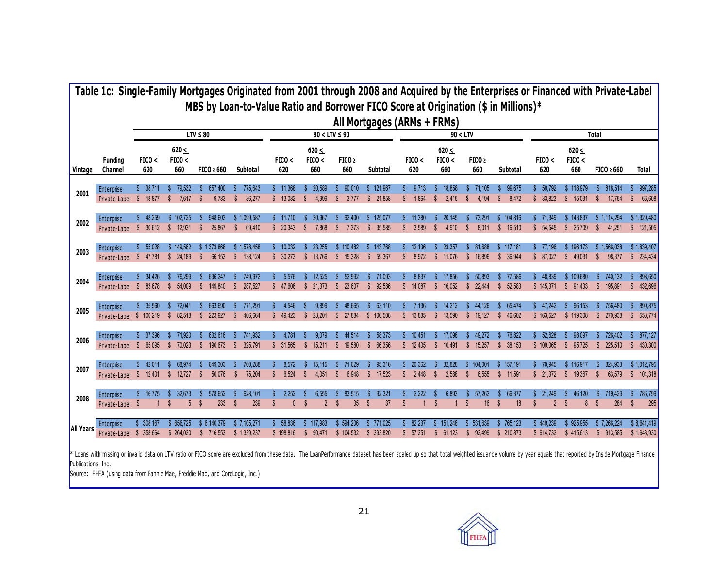|                  | Table 1c: Single-Family Mortgages Originated from 2001 through 2008 and Acquired by the Enterprises or Financed with Private-Label |                             |                            |                             |                                                                                     |                                |                                          |                              |                             |                                  |                                       |                                        |                                 |                              |                                  |                                                    |                                                     |
|------------------|------------------------------------------------------------------------------------------------------------------------------------|-----------------------------|----------------------------|-----------------------------|-------------------------------------------------------------------------------------|--------------------------------|------------------------------------------|------------------------------|-----------------------------|----------------------------------|---------------------------------------|----------------------------------------|---------------------------------|------------------------------|----------------------------------|----------------------------------------------------|-----------------------------------------------------|
|                  |                                                                                                                                    |                             |                            |                             | MBS by Loan-to-Value Ratio and Borrower FICO Score at Origination (\$ in Millions)* |                                |                                          |                              | All Mortgages (ARMs + FRMs) |                                  |                                       |                                        |                                 |                              |                                  |                                                    |                                                     |
|                  |                                                                                                                                    |                             |                            | $LTV \leq 80$               |                                                                                     |                                |                                          | $80 < LTV \leq 90$           |                             |                                  | 90 < LTV                              |                                        |                                 |                              |                                  | Total                                              |                                                     |
| Vintage          | Funding<br>Channel                                                                                                                 | FICO <<br>620               | $620 \le$<br>FICO <<br>660 | $FICO \geq 660$             | Subtotal                                                                            | FICO <<br>620                  | $620 \leq$<br>FICO <<br>660              | FICO <sub>2</sub><br>660     | Subtotal                    | FICO <<br>620                    | $620 \leq$<br>FICO <<br>660           | FICO ><br>660                          | Subtotal                        | FICO <<br>620                | $620 \leq$<br>FICO <<br>660      | $FICO \geq 660$                                    | <b>Total</b>                                        |
| 2001             | Enterprise<br>Private-Label                                                                                                        | - 38.711<br>-S<br>18,877    | 79.532<br>7,617            | 657.400<br>9,783            | 775.643<br>36,277<br>S                                                              | \$11.368<br>\$13,082           | 20.589<br>$\mathbb{S}$<br>4.999          | 90.010<br>\$<br>3.777        | 121.967<br>S.<br>\$21,858   | 9.713<br>1,864<br>S              | 18.858<br>2,415<br>S                  | 71.105<br>4,194<br>S                   | 99,675<br>8,472<br>$\mathbb{S}$ | 59.792<br>\$33,823           | \$118,979<br>\$15,031            | 818.514<br>s.<br>17,754                            | 997,285<br>66,608<br>S                              |
| 2002             | Enterprise<br>Private-Label                                                                                                        | 48.259<br>30,612<br>- \$    | \$102.725<br>\$12,931      | 948.603<br>25,867           | \$1.099.587<br>69,410<br>S                                                          | \$11.710<br>\$20.343           | 20.967<br>$\mathbb{S}$<br>7.868          | 92.400<br>\$<br>7,373        | 125.077<br>S<br>\$35,585    | 11.380<br>3,589<br>s.            | 20.145<br><sup>\$</sup><br>4.910      | 73.291<br>s.<br>8,011                  | 104.816<br>s.<br>\$16,510       | \$71.349<br>\$54,545         | \$143.837<br>\$25,709            | \$1.114.294<br>s.<br>41,251                        | \$1.329.480<br>121,505<br>$\mathbb{S}$              |
| 2003             | Enterprise<br>Private-Label                                                                                                        | 55.028<br>\$47,781          | \$149.562<br>\$24,189      | \$1.373.868<br>66,153<br>S. | \$1.578.458<br>$\mathbb{S}$<br>138,124                                              | \$10.032<br>\$30.273           | 23.255<br>\$ 13.766                      | \$110.482<br>\$ 15.328       | 143,768<br>\$<br>\$59,367   | 12.136<br>8,972<br>s.            | 23.357<br>11,076<br>S.                | 81.688<br>16.896<br>s.                 | \$117.181<br>\$ 36,944          | \$77.196<br>\$87,027         | \$196.173<br>\$49,031            | \$1,566,038<br>$\boldsymbol{\mathsf{s}}$<br>98,377 | \$1,839,407<br>$\boldsymbol{\mathsf{s}}$<br>234,434 |
| 2004             | Enterprise<br>Private-Label                                                                                                        | \$34,426<br>83.678<br>-S    | 79,299<br>54.009<br>S.     | 636,247<br>149.840<br>s.    | 749,972<br>287,527<br>s.                                                            | 5,576<br>\$47.606              | 12.525<br>\$21.373                       | 52.992<br>23.607<br>s.       | 71,093<br>s.<br>\$92.586    | 8,837<br>\$14.087                | 17,856<br>16.052<br>S.                | 50,893<br>22,444<br>s.                 | 77,586<br>52,583<br>S.          | \$48,839<br>\$145,371        | \$109,680<br>\$91,433            | 740,132<br>s.<br>\$ 195,891                        | 898,650<br>432,696<br><b>S</b>                      |
| 2005             | Enterprise<br>Private-Label \$ 100,219                                                                                             | \$35,560                    | 72,041<br>82.518<br>S.     | 663,690<br>223.927<br>s.    | 771.291<br>406.664<br>S.                                                            | 4,546<br>\$49.423              | 9.899<br>23.201<br>$\mathbb{S}$          | 48.665<br>\$27.884           | 63.110<br>s<br>\$100.508    | 7,136<br>\$13.885                | 14,212<br>13.590<br>S.                | 44,126<br>\$ 19.127                    | 65,474<br>46.602<br>S.          | \$47,242<br>\$163,527        | 96.153<br>s.<br>\$119,308        | 756.480<br>s.<br>\$ 270.938                        | 899,875<br>553.774<br><b>S</b>                      |
| 2006             | Enterprise<br>Private-Label                                                                                                        | \$37,396<br>\$65,095        | 71,920<br>\$70.023         | 632.616<br>190.673<br>s.    | 741,932<br>S<br>325,791<br>S.                                                       | 4,781<br>\$31.565              | 9.079<br>$\mathbb{S}$<br>15.211          | 44.514<br>s.<br>\$ 19.580    | 58.373<br>\$ 66.356         | \$10,451<br>\$12.405             | 17.098<br>10.491<br>$\mathbb{S}$      | 49.272<br>\$ 15.257                    | 76,822<br>\$38,153              | \$52.628<br>\$109.065        | 98.097<br>s.<br>\$95.725         | 726.402<br>s.<br>\$225.510                         | 877,127<br>$\mathsf{\$}$<br>430,300                 |
| 2007             | Enterprise<br>Private-Label                                                                                                        | 42.011<br>\$ 12,401         | 68.974<br>S.<br>12.727     | 649.303<br>50.076           | 760,288<br>75.204<br><b>S</b>                                                       | 8.572<br>6.524<br>$\mathbb{S}$ | 15.115<br>$\mathsf{\$}$<br>4.051         | 71.629<br>s.<br>S.<br>6.948  | 95.316<br>s.<br>\$ 17.523   | 20.362<br>2.448<br>$\mathbb{S}$  | 32.828<br>2.588<br>$\mathbf{\hat{s}}$ | 104.001<br>s.<br>6.555<br>$\mathbb{S}$ | \$157.191<br>\$11,591           | \$70,945<br>\$21,372         | \$116.917<br>\$ 19.367           | 824.933<br>\$<br>63.579                            | \$1,012,795<br>\$104,318                            |
| 2008             | Enterprise<br>Private-Label \$                                                                                                     | 16,775                      | 32.673<br><b>S</b><br>5    | 578.652<br>233<br>-S        | 628.101<br>239<br>S                                                                 | 2.252<br>$\mathbf{0}$<br>S     | 6.555<br>$\overline{2}$<br><sup>\$</sup> | 83.515<br>$\mathbf{s}$<br>35 | 92.321<br>37<br>S           | 2.222<br>S                       | 6.893<br><b>S</b><br>$\mathbf{1}$     | 57.262<br>16<br>S                      | 66.377<br>S<br>18               | \$21.249<br>S<br>$2^{\circ}$ | 46.120<br>S<br>$\mathbb{S}$<br>8 | 719.429<br>284<br>- \$                             | 786,799<br>$\mathbf{s}$<br>295                      |
| <b>All Years</b> | Enterprise<br>Private-Label                                                                                                        | \$ 308.167<br>-S<br>358.664 | \$656,725<br>\$ 264,020    | \$ 6,140,379<br>\$ 716,553  | \$7.105.271<br>\$1.339.237                                                          | 58,836<br>\$198,816            | 117.983<br>90.471<br>s.                  | \$594.206<br>\$104.532       | 771,025<br>393.820<br>s.    | 82.237<br>57.251<br>$\mathbb{S}$ | 151.248<br>61.123<br>$\mathbb{S}$     | 531,639<br>92.499<br>s.                | 765,123<br>\$ 210,873           | \$449,239<br>\$ 614.732      | \$925.955<br>\$415.613           | \$7.266.224<br>\$913.585                           | \$8,641,419<br>\$1,943,930                          |

\* Loans with missing or invalid data on LTV ratio or FICO score are excluded from these data. The LoanPerformance dataset has been scaled up so that total weighted issuance volume by year equals that reported by Inside Mor Publications, Inc.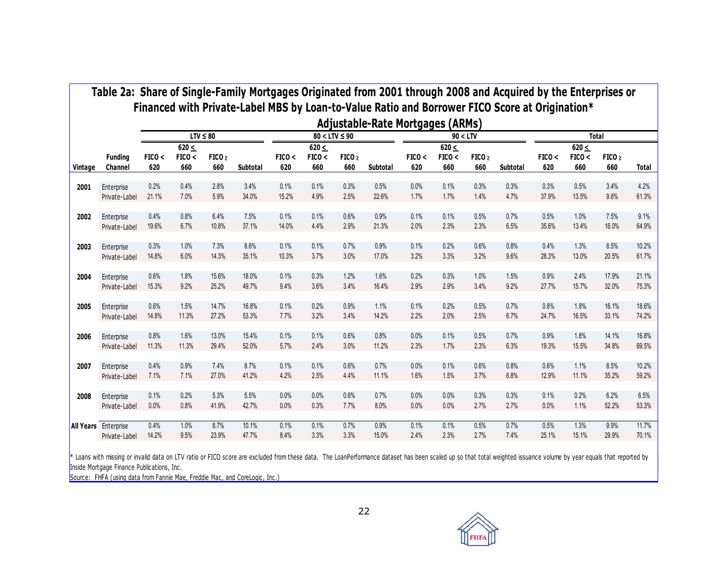|         |                             |               |                             | $LTV \leq 80$            |          |               |                             | $80 < LTV \leq 90$       | Adjustable-Rate Mortgages (ARMs) |               |                             | 90 < LTV                 |          |               |                             | <b>Total</b>             |              |
|---------|-----------------------------|---------------|-----------------------------|--------------------------|----------|---------------|-----------------------------|--------------------------|----------------------------------|---------------|-----------------------------|--------------------------|----------|---------------|-----------------------------|--------------------------|--------------|
| Vintage | <b>Funding</b><br>Channel   | FICO <<br>620 | $620 \leq$<br>FICO <<br>660 | FICO <sub>2</sub><br>660 | Subtotal | FICO <<br>620 | $620 \leq$<br>FICO <<br>660 | FICO <sub>2</sub><br>660 | Subtotal                         | FICO <<br>620 | $620 \leq$<br>FICO <<br>660 | FICO <sub>2</sub><br>660 | Subtotal | FICO <<br>620 | $620 \leq$<br>FICO <<br>660 | FICO <sub>2</sub><br>660 | <b>Total</b> |
| 2001    | Enterprise                  | 0.2%          | 0.4%                        | 2.8%                     | 3.4%     | 0.1%          | 0.1%                        | 0.3%                     | 0.5%                             | 0.0%          | 0.1%                        | 0.3%                     | 0.3%     | 0.3%          | 0.5%                        | 3.4%                     | 4.2%         |
|         | Private-Label               | 21.1%         | 7.0%                        | 5.9%                     | 34.0%    | 15.2%         | 4.9%                        | 2.5%                     | 22.6%                            | 1.7%          | 1.7%                        | 1.4%                     | 4.7%     | 37.9%         | 13.5%                       | 9.8%                     | 61.3%        |
| 2002    | Enterprise                  | 0.4%          | 0.8%                        | 6.4%                     | 7.5%     | 0.1%          | 0.1%                        | 0.6%                     | 0.9%                             | 0.1%          | 0.1%                        | 0.5%                     | 0.7%     | 0.5%          | 1.0%                        | 7.5%                     | 9.1%         |
|         | Private-Label               | 19.6%         | 6.7%                        | 10.8%                    | 37.1%    | 14.0%         | 4.4%                        | 2.9%                     | 21.3%                            | 2.0%          | 2.3%                        | 2.3%                     | 6.5%     | 35.6%         | 13.4%                       | 16.0%                    | 64.9%        |
| 2003    | Enterprise                  | 0.3%          | 1.0%                        | 7.3%                     | 8.6%     | 0.1%          | 0.1%                        | 0.7%                     | 0.9%                             | 0.1%          | 0.2%                        | 0.6%                     | 0.8%     | 0.4%          | 1.3%                        | 8.5%                     | 10.2%        |
|         | Private-Label               | 14.8%         | 6.0%                        | 14.3%                    | 35.1%    | 10.3%         | 3.7%                        | 3.0%                     | 17.0%                            | 3.2%          | 3.3%                        | 3.2%                     | 9.6%     | 28.3%         | 13.0%                       | 20.5%                    | 61.7%        |
| 2004    | Enterprise                  | 0.6%          | 1.8%                        | 15.6%                    | 18.0%    | 0.1%          | 0.3%                        | 1.2%                     | 1.6%                             | 0.2%          | 0.3%                        | 1.0%                     | 1.5%     | 0.9%          | 2.4%                        | 17.9%                    | 21.1%        |
|         | Private-Label               | 15.3%         | 9.2%                        | 25.2%                    | 49.7%    | 9.4%          | 3.6%                        | 3.4%                     | 16.4%                            | 2.9%          | 2.9%                        | 3.4%                     | 9.2%     | 27.7%         | 15.7%                       | 32.0%                    | 75.3%        |
| 2005    | Enterprise                  | 0.6%          | 1.5%                        | 14.7%                    | 16.8%    | 0.1%          | 0.2%                        | 0.9%                     | 1.1%                             | 0.1%          | 0.2%                        | 0.5%                     | 0.7%     | 0.8%          | 1.8%                        | 16.1%                    | 18.6%        |
|         | Private-Label               | 14.8%         | 11.3%                       | 27.2%                    | 53.3%    | 7.7%          | 3.2%                        | 3.4%                     | 14.2%                            | 2.2%          | 2.0%                        | 2.5%                     | 6.7%     | 24.7%         | 16.5%                       | 33.1%                    | 74.2%        |
| 2006    | Enterprise                  | 0.8%          | 1.6%                        | 13.0%                    | 15.4%    | 0.1%          | 0.1%                        | 0.6%                     | 0.8%                             | 0.0%          | 0.1%                        | 0.5%                     | 0.7%     | 0.9%          | 1.8%                        | 14.1%                    | 16.8%        |
|         | Private-Label               | 11.3%         | 11.3%                       | 29.4%                    | 52.0%    | 5.7%          | 2.4%                        | 3.0%                     | 11.2%                            | 2.3%          | 1.7%                        | 2.3%                     | 6.3%     | 19.3%         | 15.5%                       | 34.8%                    | 69.5%        |
| 2007    | Enterprise                  | 0.4%          | 0.9%                        | 7.4%                     | 8.7%     | 0.1%          | 0.1%                        | 0.6%                     | 0.7%                             | 0.0%          | 0.1%                        | 0.6%                     | 0.8%     | 0.6%          | 1.1%                        | 8.5%                     | 10.2%        |
|         | Private-Label               | 7.1%          | 7.1%                        | 27.0%                    | 41.2%    | 4.2%          | 2.5%                        | 4.4%                     | 11.1%                            | 1.6%          | 1.5%                        | 3.7%                     | 6.8%     | 12.9%         | 11.1%                       | 35.2%                    | 59.2%        |
| 2008    | Enterprise                  | 0.1%          | 0.2%                        | 5.3%                     | 5.5%     | 0.0%          | 0.0%                        | 0.6%                     | 0.7%                             | 0.0%          | 0.0%                        | 0.3%                     | 0.3%     | 0.1%          | 0.2%                        | 6.2%                     | 6.5%         |
|         | Private-Label               | 0.0%          | 0.8%                        | 41.9%                    | 42.7%    | 0.0%          | 0.3%                        | 7.7%                     | 8.0%                             | 0.0%          | 0.0%                        | 2.7%                     | 2.7%     | 0.0%          | 1.1%                        | 52.2%                    | 53.3%        |
|         | <b>All Years</b> Enterprise | 0.4%          | 1.0%                        | 8.7%                     | 10.1%    | 0.1%          | 0.1%                        | 0.7%                     | 0.9%                             | 0.1%          | 0.1%                        | 0.5%                     | 0.7%     | 0.5%          | 1.3%                        | 9.9%                     | 11.7%        |
|         | Private-Label               | 14.2%         | 9.5%                        | 23.9%                    | 47.7%    | 8.4%          | 3.3%                        | 3.3%                     | 15.0%                            | 2.4%          | 2.3%                        | 2.7%                     | 7.4%     | 25.1%         | 15.1%                       | 29.9%                    | 70.1%        |

Inside Mortgage Finance Publications, Inc .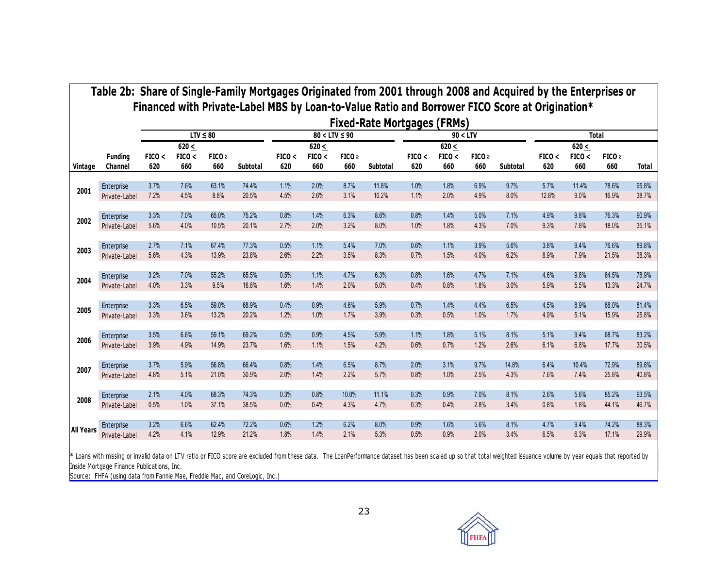|                  |                             |               |                             |                          |                |               |                             |                          | <b>Fixed-Rate Mortgages (FRMs)</b> |               |                             |                          |              |               |                             |                          |                |
|------------------|-----------------------------|---------------|-----------------------------|--------------------------|----------------|---------------|-----------------------------|--------------------------|------------------------------------|---------------|-----------------------------|--------------------------|--------------|---------------|-----------------------------|--------------------------|----------------|
|                  |                             |               |                             | $LTV \leq 80$            |                |               | $80 < LTV \leq 90$          |                          |                                    |               | 90 < LTV                    |                          |              |               |                             | <b>Total</b>             |                |
| Vintage          | <b>Funding</b><br>Channel   | FICO <<br>620 | $620 \leq$<br>FICO <<br>660 | FICO <sub>2</sub><br>660 | Subtotal       | FICO <<br>620 | $620 \leq$<br>FICO <<br>660 | FICO <sub>2</sub><br>660 | Subtotal                           | FICO <<br>620 | $620 \leq$<br>FICO <<br>660 | FICO <sub>2</sub><br>660 | Subtotal     | FICO <<br>620 | $620 \leq$<br>FICO <<br>660 | FICO <sub>2</sub><br>660 | Total          |
| 2001             | Enterprise                  | 3.7%          | 7.6%                        | 63.1%                    | 74.4%          | 1.1%          | 2.0%                        | 8.7%                     | 11.8%                              | 1.0%          | 1.8%                        | 6.9%                     | 9.7%         | 5.7%          | 11.4%                       | 78.6%                    | 95.8%          |
|                  | Private-Label               | 7.2%          | 4.5%                        | 8.8%                     | 20.5%          | 4.5%          | 2.6%                        | 3.1%                     | 10.2%                              | 1.1%          | 2.0%                        | 4.9%                     | 8.0%         | 12.8%         | 9.0%                        | 16.9%                    | 38.7%          |
|                  | Enterprise                  | 3.3%          | 7.0%                        | 65.0%                    | 75.2%          | 0.8%          | 1.4%                        | 6.3%                     | 8.6%                               | 0.8%          | 1.4%                        | 5.0%                     | 7.1%         | 4.9%          | 9.8%                        | 76.3%                    | 90.9%          |
| 2002             | Private-Label               | 5.6%          | 4.0%                        | 10.5%                    | 20.1%          | 2.7%          | 2.0%                        | 3.2%                     | 8.0%                               | 1.0%          | 1.8%                        | 4.3%                     | 7.0%         | 9.3%          | 7.8%                        | 18.0%                    | 35.1%          |
|                  | Enterprise                  | 2.7%          | 7.1%                        | 67.4%                    | 77.3%          | 0.5%          | 1.1%                        | 5.4%                     | 7.0%                               | 0.6%          | 1.1%                        | 3.9%                     | 5.6%         | 3.8%          | 9.4%                        | 76.6%                    | 89.8%          |
| 2003             | Private-Label               | 5.6%          | 4.3%                        | 13.9%                    | 23.8%          | 2.6%          | 2.2%                        | 3.5%                     | 8.3%                               | 0.7%          | 1.5%                        | 4.0%                     | 6.2%         | 8.9%          | 7.9%                        | 21.5%                    | 38.3%          |
|                  |                             | 3.2%          | 7.0%                        | 55.2%                    | 65.5%          | 0.5%          | 1.1%                        | 4.7%                     | 6.3%                               | 0.8%          | 1.6%                        | 4.7%                     | 7.1%         | 4.6%          | 9.8%                        | 64.5%                    | 78.9%          |
| 2004             | Enterprise<br>Private-Label | 4.0%          | 3.3%                        | 9.5%                     | 16.8%          | 1.6%          | 1.4%                        | 2.0%                     | 5.0%                               | 0.4%          | 0.8%                        | 1.8%                     | 3.0%         | 5.9%          | 5.5%                        | 13.3%                    | 24.7%          |
|                  |                             |               |                             |                          |                |               |                             |                          |                                    |               |                             |                          |              |               |                             |                          |                |
| 2005             | Enterprise<br>Private-Label | 3.3%<br>3.3%  | 6.5%<br>3.6%                | 59.0%<br>13.2%           | 68.9%<br>20.2% | 0.4%<br>1.2%  | 0.9%<br>1.0%                | 4.6%<br>1.7%             | 5.9%<br>3.9%                       | 0.7%<br>0.3%  | 1.4%<br>0.5%                | 4.4%<br>1.0%             | 6.5%<br>1.7% | 4.5%<br>4.9%  | 8.9%<br>5.1%                | 68.0%<br>15.9%           | 81.4%<br>25.8% |
|                  |                             |               |                             |                          |                |               |                             |                          |                                    |               |                             |                          |              |               |                             |                          |                |
| 2006             | Enterprise                  | 3.5%<br>3.9%  | 6.6%<br>4.9%                | 59.1%<br>14.9%           | 69.2%<br>23.7% | 0.5%<br>1.6%  | 0.9%<br>1.1%                | 4.5%<br>1.5%             | 5.9%<br>4.2%                       | 1.1%<br>0.6%  | 1.8%<br>0.7%                | 5.1%<br>1.2%             | 8.1%<br>2.6% | 5.1%<br>6.1%  | 9.4%<br>6.8%                | 68.7%<br>17.7%           | 83.2%<br>30.5% |
|                  | Private-Label               |               |                             |                          |                |               |                             |                          |                                    |               |                             |                          |              |               |                             |                          |                |
| 2007             | Enterprise                  | 3.7%          | 5.9%                        | 56.8%                    | 66.4%          | 0.8%          | 1.4%                        | 6.5%                     | 8.7%                               | 2.0%          | 3.1%                        | 9.7%                     | 14.8%        | 6.4%          | 10.4%                       | 72.9%                    | 89.8%          |
|                  | Private-Label               | 4.8%          | 5.1%                        | 21.0%                    | 30.9%          | 2.0%          | 1.4%                        | 2.2%                     | 5.7%                               | 0.8%          | 1.0%                        | 2.5%                     | 4.3%         | 7.6%          | 7.4%                        | 25.8%                    | 40.8%          |
|                  | Enterprise                  | 2.1%          | 4.0%                        | 68.3%                    | 74.3%          | 0.3%          | 0.8%                        | 10.0%                    | 11.1%                              | 0.3%          | 0.9%                        | 7.0%                     | 8.1%         | 2.6%          | 5.6%                        | 85.2%                    | 93.5%          |
| 2008             | Private-Label               | 0.5%          | 1.0%                        | 37.1%                    | 38.5%          | 0.0%          | 0.4%                        | 4.3%                     | 4.7%                               | 0.3%          | 0.4%                        | 2.8%                     | 3.4%         | 0.8%          | 1.8%                        | 44.1%                    | 46.7%          |
|                  | Enterprise                  | 3.2%          | 6.6%                        | 62.4%                    | 72.2%          | 0.6%          | 1.2%                        | 6.2%                     | 8.0%                               | 0.9%          | 1.6%                        | 5.6%                     | 8.1%         | 4.7%          | 9.4%                        | 74.2%                    | 88.3%          |
| <b>All Years</b> | Private-Label               | 4.2%          | 4.1%                        | 12.9%                    | 21.2%          | 1.8%          | 1.4%                        | 2.1%                     | 5.3%                               | 0.5%          | 0.9%                        | 2.0%                     | 3.4%         | 6.5%          | 6.3%                        | 17.1%                    | 29.9%          |

Inside Mortgage Finance Publications, Inc.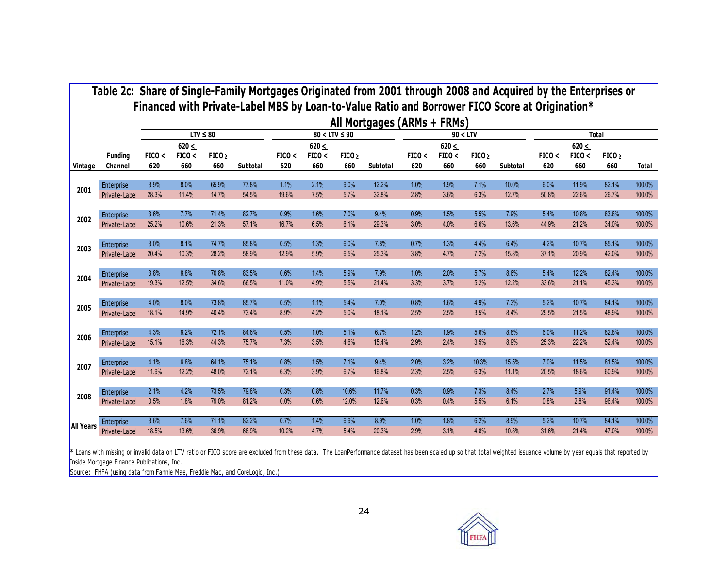|                  |                           |               |                             |                          |          |               |                             |                          | All Mortgages (ARMs + FRMs) |               |                             |                          |          |               |                             |                          |              |
|------------------|---------------------------|---------------|-----------------------------|--------------------------|----------|---------------|-----------------------------|--------------------------|-----------------------------|---------------|-----------------------------|--------------------------|----------|---------------|-----------------------------|--------------------------|--------------|
|                  |                           |               |                             | $LTV \leq 80$            |          |               |                             | $80 < LTV \leq 90$       |                             |               |                             | 90 < LTV                 |          |               |                             | <b>Total</b>             |              |
| Vintage          | <b>Funding</b><br>Channel | FICO <<br>620 | 620 $\leq$<br>FICO <<br>660 | FICO <sub>2</sub><br>660 | Subtotal | FICO <<br>620 | $620 \leq$<br>FICO <<br>660 | FICO <sub>2</sub><br>660 | Subtotal                    | FICO <<br>620 | $620 \leq$<br>FICO <<br>660 | FICO <sub>2</sub><br>660 | Subtotal | FICO <<br>620 | $620 \leq$<br>FICO <<br>660 | FICO <sub>2</sub><br>660 | <b>Total</b> |
| 2001             | Enterprise                | 3.9%          | 8.0%                        | 65.9%                    | 77.8%    | 1.1%          | 2.1%                        | 9.0%                     | 12.2%                       | 1.0%          | 1.9%                        | 7.1%                     | 10.0%    | 6.0%          | 11.9%                       | 82.1%                    | 100.0%       |
|                  | Private-Label             | 28.3%         | 11.4%                       | 14.7%                    | 54.5%    | 19.6%         | 7.5%                        | 5.7%                     | 32.8%                       | 2.8%          | 3.6%                        | 6.3%                     | 12.7%    | 50.8%         | 22.6%                       | 26.7%                    | 100.0%       |
| 2002             | Enterprise                | 3.6%          | 7.7%                        | 71.4%                    | 82.7%    | 0.9%          | 1.6%                        | 7.0%                     | 9.4%                        | 0.9%          | 1.5%                        | 5.5%                     | 7.9%     | 5.4%          | 10.8%                       | 83.8%                    | 100.0%       |
|                  | Private-Label             | 25.2%         | 10.6%                       | 21.3%                    | 57.1%    | 16.7%         | 6.5%                        | 6.1%                     | 29.3%                       | 3.0%          | 4.0%                        | 6.6%                     | 13.6%    | 44.9%         | 21.2%                       | 34.0%                    | 100.0%       |
| 2003             | Enterprise                | 3.0%          | 8.1%                        | 74.7%                    | 85.8%    | 0.5%          | 1.3%                        | 6.0%                     | 7.8%                        | 0.7%          | 1.3%                        | 4.4%                     | 6.4%     | 4.2%          | 10.7%                       | 85.1%                    | 100.0%       |
|                  | Private-Label             | 20.4%         | 10.3%                       | 28.2%                    | 58.9%    | 12.9%         | 5.9%                        | 6.5%                     | 25.3%                       | 3.8%          | 4.7%                        | 7.2%                     | 15.8%    | 37.1%         | 20.9%                       | 42.0%                    | 100.0%       |
| 2004             | Enterprise                | 3.8%          | 8.8%                        | 70.8%                    | 83.5%    | 0.6%          | 1.4%                        | 5.9%                     | 7.9%                        | 1.0%          | 2.0%                        | 5.7%                     | 8.6%     | 5.4%          | 12.2%                       | 82.4%                    | 100.0%       |
|                  | Private-Label             | 19.3%         | 12.5%                       | 34.6%                    | 66.5%    | 11.0%         | 4.9%                        | 5.5%                     | 21.4%                       | 3.3%          | 3.7%                        | 5.2%                     | 12.2%    | 33.6%         | 21.1%                       | 45.3%                    | 100.0%       |
| 2005             | Enterprise                | 4.0%          | 8.0%                        | 73.8%                    | 85.7%    | 0.5%          | 1.1%                        | 5.4%                     | 7.0%                        | 0.8%          | 1.6%                        | 4.9%                     | 7.3%     | 5.2%          | 10.7%                       | 84.1%                    | 100.0%       |
|                  | Private-Label             | 18.1%         | 14.9%                       | 40.4%                    | 73.4%    | 8.9%          | 4.2%                        | 5.0%                     | 18.1%                       | 2.5%          | 2.5%                        | 3.5%                     | 8.4%     | 29.5%         | 21.5%                       | 48.9%                    | 100.0%       |
| 2006             | Enterprise                | 4.3%          | 8.2%                        | 72.1%                    | 84.6%    | 0.5%          | 1.0%                        | 5.1%                     | 6.7%                        | 1.2%          | 1.9%                        | 5.6%                     | 8.8%     | 6.0%          | 11.2%                       | 82.8%                    | 100.0%       |
|                  | Private-Label             | 15.1%         | 16.3%                       | 44.3%                    | 75.7%    | 7.3%          | 3.5%                        | 4.6%                     | 15.4%                       | 2.9%          | 2.4%                        | 3.5%                     | 8.9%     | 25.3%         | 22.2%                       | 52.4%                    | 100.0%       |
| 2007             | Enterprise                | 4.1%          | 6.8%                        | 64.1%                    | 75.1%    | 0.8%          | 1.5%                        | 7.1%                     | 9.4%                        | 2.0%          | 3.2%                        | 10.3%                    | 15.5%    | 7.0%          | 11.5%                       | 81.5%                    | 100.0%       |
|                  | Private-Label             | 11.9%         | 12.2%                       | 48.0%                    | 72.1%    | 6.3%          | 3.9%                        | 6.7%                     | 16.8%                       | 2.3%          | 2.5%                        | 6.3%                     | 11.1%    | 20.5%         | 18.6%                       | 60.9%                    | 100.0%       |
| 2008             | Enterprise                | 2.1%          | 4.2%                        | 73.5%                    | 79.8%    | 0.3%          | 0.8%                        | 10.6%                    | 11.7%                       | 0.3%          | 0.9%                        | 7.3%                     | 8.4%     | 2.7%          | 5.9%                        | 91.4%                    | 100.0%       |
|                  | Private-Label             | 0.5%          | 1.8%                        | 79.0%                    | 81.2%    | 0.0%          | 0.6%                        | 12.0%                    | 12.6%                       | 0.3%          | 0.4%                        | 5.5%                     | 6.1%     | 0.8%          | 2.8%                        | 96.4%                    | 100.0%       |
| <b>All Years</b> | Enterprise                | 3.6%          | 7.6%                        | 71.1%                    | 82.2%    | 0.7%          | 1.4%                        | 6.9%                     | 8.9%                        | 1.0%          | 1.8%                        | 6.2%                     | 8.9%     | 5.2%          | 10.7%                       | 84.1%                    | 100.0%       |
|                  | Private-Label             | 18.5%         | 13.6%                       | 36.9%                    | 68.9%    | 10.2%         | 4.7%                        | 5.4%                     | 20.3%                       | 2.9%          | 3.1%                        | 4.8%                     | 10.8%    | 31.6%         | 21.4%                       | 47.0%                    | 100.0%       |

\* Loans with missing or invalid data on LTV ratio or FICO score are excluded from these data. The LoanPerformance dataset has been scaled up so that total weighted issuance volume by year equals that reported by Inside Mortgage Finance Publications, Inc .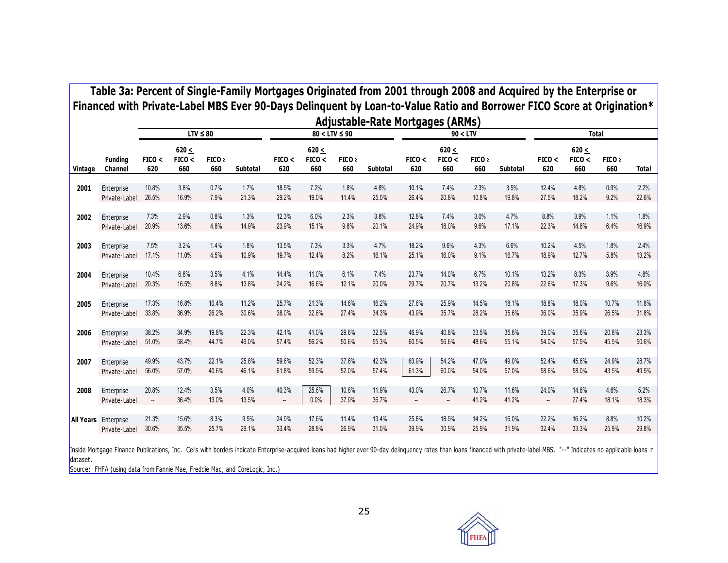|         |                             |                          |                             | $LTV \leq 80$            |          |               |                             | $80 < LTV \leq 90$       | <b>Adjustable-Rate Mortgages (ARMs)</b> |               | 90 < LTV                    |                          |          |               |                             | <b>Total</b>             |              |
|---------|-----------------------------|--------------------------|-----------------------------|--------------------------|----------|---------------|-----------------------------|--------------------------|-----------------------------------------|---------------|-----------------------------|--------------------------|----------|---------------|-----------------------------|--------------------------|--------------|
| Vintage | <b>Funding</b><br>Channel   | FICO <<br>620            | $620 \leq$<br>FICO <<br>660 | FICO <sub>2</sub><br>660 | Subtotal | FICO <<br>620 | $620 \leq$<br>FICO <<br>660 | FICO <sub>2</sub><br>660 | Subtotal                                | FICO <<br>620 | $620 \leq$<br>FICO <<br>660 | FICO <sub>2</sub><br>660 | Subtotal | FICO <<br>620 | $620 \leq$<br>FICO <<br>660 | FICO <sub>2</sub><br>660 | <b>Total</b> |
| 2001    | Enterprise                  | 10.8%                    | 3.8%                        | 0.7%                     | 1.7%     | 18.5%         | 7.2%                        | 1.8%                     | 4.8%                                    | 10.1%         | 7.4%                        | 2.3%                     | 3.5%     | 12.4%         | 4.8%                        | 0.9%                     | 2.2%         |
|         | Private-Label               | 26.5%                    | 16.9%                       | 7.9%                     | 21.3%    | 29.2%         | 19.0%                       | 11.4%                    | 25.0%                                   | 26.4%         | 20.8%                       | 10.8%                    | 19.8%    | 27.5%         | 18.2%                       | 9.2%                     | 22.6%        |
| 2002    | Enterprise                  | 7.3%                     | 2.9%                        | 0.8%                     | 1.3%     | 12.3%         | 6.0%                        | 2.3%                     | 3.8%                                    | 12.8%         | 7.4%                        | 3.0%                     | 4.7%     | 8.8%          | 3.9%                        | 1.1%                     | 1.8%         |
|         | Private-Label               | 20.9%                    | 13.6%                       | 4.8%                     | 14.9%    | 23.9%         | 15.1%                       | 9.8%                     | 20.1%                                   | 24.9%         | 18.0%                       | 9.6%                     | 17.1%    | 22.3%         | 14.8%                       | 6.4%                     | 16.9%        |
| 2003    | Enterprise                  | 7.5%                     | 3.2%                        | 1.4%                     | 1.8%     | 13.5%         | 7.3%                        | 3.3%                     | 4.7%                                    | 18.2%         | 9.6%                        | 4.3%                     | 6.6%     | 10.2%         | 4.5%                        | 1.8%                     | 2.4%         |
|         | Private-Label               | 17.1%                    | 11.0%                       | 4.5%                     | 10.9%    | 19.7%         | 12.4%                       | 8.2%                     | 16.1%                                   | 25.1%         | 16.0%                       | 9.1%                     | 16.7%    | 18.9%         | 12.7%                       | 5.8%                     | 13.2%        |
| 2004    | Enterprise                  | 10.4%                    | 6.8%                        | 3.5%                     | 4.1%     | 14.4%         | 11.0%                       | 6.1%                     | 7.4%                                    | 23.7%         | 14.0%                       | 6.7%                     | 10.1%    | 13.2%         | 8.3%                        | 3.9%                     | 4.8%         |
|         | Private-Label               | 20.3%                    | 16.5%                       | 8.8%                     | 13.8%    | 24.2%         | 16.6%                       | 12.1%                    | 20.0%                                   | 29.7%         | 20.7%                       | 13.2%                    | 20.8%    | 22.6%         | 17.3%                       | 9.6%                     | 16.0%        |
| 2005    | Enterprise                  | 17.3%                    | 16.8%                       | 10.4%                    | 11.2%    | 25.7%         | 21.3%                       | 14.6%                    | 16.2%                                   | 27.6%         | 25.9%                       | 14.5%                    | 18.1%    | 18.8%         | 18.0%                       | 10.7%                    | 11.8%        |
|         | Private-Label               | 33.8%                    | 36.9%                       | 26.2%                    | 30.6%    | 38.0%         | 32.6%                       | 27.4%                    | 34.3%                                   | 43.9%         | 35.7%                       | 28.2%                    | 35.6%    | 36.0%         | 35.9%                       | 26.5%                    | 31.8%        |
| 2006    | Enterprise                  | 38.2%                    | 34.9%                       | 19.8%                    | 22.3%    | 42.1%         | 41.0%                       | 29.6%                    | 32.5%                                   | 46.9%         | 40.8%                       | 33.5%                    | 35.6%    | 39.0%         | 35.6%                       | 20.8%                    | 23.3%        |
|         | Private-Label               | 51.0%                    | 58.4%                       | 44.7%                    | 49.0%    | 57.4%         | 56.2%                       | 50.6%                    | 55.3%                                   | 60.5%         | 56.6%                       | 48.6%                    | 55.1%    | 54.0%         | 57.9%                       | 45.5%                    | 50.6%        |
| 2007    | Enterprise                  | 49.9%                    | 43.7%                       | 22.1%                    | 25.8%    | 59.6%         | 52.3%                       | 37.8%                    | 42.3%                                   | 63.9%         | 54.2%                       | 47.0%                    | 49.0%    | 52.4%         | 45.6%                       | 24.9%                    | 28.7%        |
|         | Private-Label               | 56.0%                    | 57.0%                       | 40.6%                    | 46.1%    | 61.8%         | 59.5%                       | 52.0%                    | 57.4%                                   | 61.3%         | 60.0%                       | 54.0%                    | 57.0%    | 58.6%         | 58.0%                       | 43.5%                    | 49.5%        |
| 2008    | Enterprise                  | 20.8%                    | 12.4%                       | 3.5%                     | 4.0%     | 40.3%         | 25.6%                       | 10.8%                    | 11.9%                                   | 43.0%         | 26.7%                       | 10.7%                    | 11.6%    | 24.0%         | 14.8%                       | 4.6%                     | 5.2%         |
|         | Private-Label               | $\overline{\phantom{a}}$ | 36.4%                       | 13.0%                    | 13.5%    | --            | 0.0%                        | 37.9%                    | 36.7%                                   | --            | --                          | 41.2%                    | 41.2%    | --            | 27.4%                       | 18.1%                    | 18.3%        |
|         | <b>All Years</b> Enterprise | 21.3%                    | 15.6%                       | 8.3%                     | 9.5%     | 24.9%         | 17.6%                       | 11.4%                    | 13.4%                                   | 25.8%         | 18.9%                       | 14.2%                    | 16.0%    | 22.2%         | 16.2%                       | 8.8%                     | 10.2%        |
|         | Private-Label               | 30.6%                    | 35.5%                       | 25.7%                    | 29.1%    | 33.4%         | 28.8%                       | 26.9%                    | 31.0%                                   | 39.9%         | 30.9%                       | 25.9%                    | 31.9%    | 32.4%         | 33.3%                       | 25.9%                    | 29.8%        |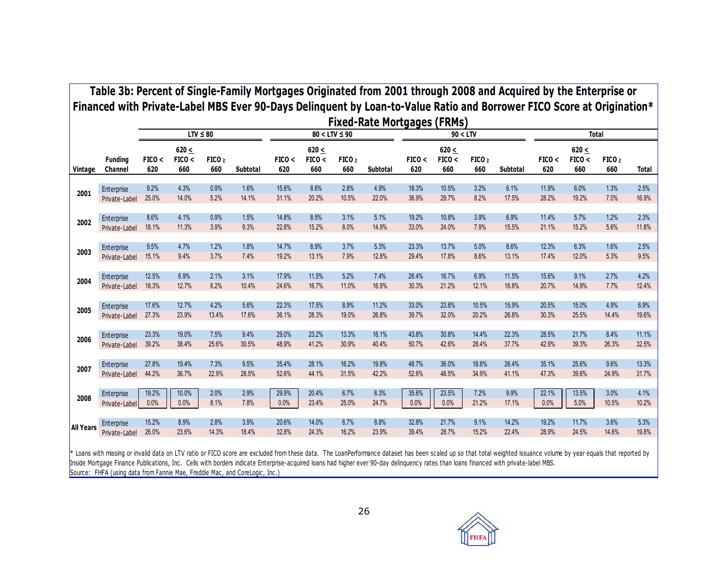|                  |                           |               |                             |                          |          |               |                             |                          | <b>Fixed-Rate Mortgages (FRMs)</b> |               |                             |                          |          |               |                             |                          |              |
|------------------|---------------------------|---------------|-----------------------------|--------------------------|----------|---------------|-----------------------------|--------------------------|------------------------------------|---------------|-----------------------------|--------------------------|----------|---------------|-----------------------------|--------------------------|--------------|
|                  |                           |               |                             | $LTV \leq 80$            |          |               |                             | $80 < LTV \leq 90$       |                                    |               | 90 < LTV                    |                          |          |               |                             | <b>Total</b>             |              |
| Vintage          | <b>Funding</b><br>Channel | FICO <<br>620 | $620 \leq$<br>FICO <<br>660 | FICO <sub>2</sub><br>660 | Subtotal | FICO <<br>620 | $620 \leq$<br>FICO <<br>660 | FICO <sub>2</sub><br>660 | Subtotal                           | FICO <<br>620 | 620 $\leq$<br>FICO <<br>660 | FICO <sub>2</sub><br>660 | Subtotal | FICO <<br>620 | $620 \leq$<br>FICO <<br>660 | FICO <sub>2</sub><br>660 | <b>Total</b> |
| 2001             | Enterprise                | 9.2%          | 4.3%                        | 0.9%                     | 1.6%     | 15.6%         | 8.6%                        | 2.8%                     | 4.9%                               | 18.3%         | 10.5%                       | 3.2%                     | 6.1%     | 11.9%         | 6.0%                        | 1.3%                     | 2.5%         |
|                  | Private-Label             | 25.0%         | 14.0%                       | 5.2%                     | 14.1%    | 31.1%         | 20.2%                       | 10.5%                    | 22.0%                              | 36.9%         | 29.7%                       | 8.2%                     | 17.5%    | 28.2%         | 19.2%                       | 7.0%                     | 16.9%        |
| 2002             | Enterprise                | 8.6%          | 4.1%                        | 0.9%                     | 1.5%     | 14.8%         | 8.5%                        | 3.1%                     | 5.1%                               | 19.2%         | 10.8%                       | 3.9%                     | 6.9%     | 11.4%         | 5.7%                        | 1.2%                     | 2.3%         |
|                  | Private-Label             | 18.1%         | 11.3%                       | 3.9%                     | 9.3%     | 22.8%         | 15.2%                       | 8.0%                     | 14.9%                              | 33.0%         | 24.0%                       | 7.9%                     | 15.5%    | 21.1%         | 15.2%                       | 5.6%                     | 11.8%        |
| 2003             | Enterprise                | 9.5%          | 4.7%                        | 1.2%                     | 1.8%     | 14.7%         | 8.9%                        | 3.7%                     | 5.3%                               | 23.3%         | 13.7%                       | 5.0%                     | 8.6%     | 12.3%         | 6.3%                        | 1.6%                     | 2.5%         |
|                  | Private-Label             | 15.1%         | 9.4%                        | 3.7%                     | 7.4%     | 19.2%         | 13.1%                       | 7.9%                     | 12.8%                              | 29.4%         | 17.8%                       | 8.6%                     | 13.1%    | 17.4%         | 12.0%                       | 5.3%                     | 9.5%         |
| 2004             | Enterprise                | 12.5%         | 6.9%                        | 2.1%                     | 3.1%     | 17.9%         | 11.5%                       | 5.2%                     | 7.4%                               | 26.4%         | 16.7%                       | 6.9%                     | 11.5%    | 15.6%         | 9.1%                        | 2.7%                     | 4.2%         |
|                  | Private-Label             | 18.3%         | 12.7%                       | 6.2%                     | 10.4%    | 24.6%         | 16.7%                       | 11.0%                    | 16.9%                              | 30.3%         | 21.2%                       | 12.1%                    | 16.8%    | 20.7%         | 14.9%                       | 7.7%                     | 12.4%        |
| 2005             | Enterprise                | 17.6%         | 12.7%                       | 4.2%                     | 5.6%     | 22.3%         | 17.5%                       | 8.9%                     | 11.2%                              | 33.0%         | 23.8%                       | 10.5%                    | 15.9%    | 20.5%         | 15.0%                       | 4.9%                     | 6.9%         |
|                  | Private-Label             | 27.3%         | 23.9%                       | 13.4%                    | 17.6%    | 36.1%         | 28.3%                       | 19.0%                    | 26.8%                              | 39.7%         | 32.0%                       | 20.2%                    | 26.8%    | 30.3%         | 25.5%                       | 14.4%                    | 19.6%        |
| 2006             | Enterprise                | 23.3%         | 19.0%                       | 7.5%                     | 9.4%     | 29.0%         | 23.2%                       | 13.3%                    | 16.1%                              | 43.8%         | 30.8%                       | 14.4%                    | 22.3%    | 28.5%         | 21.7%                       | 8.4%                     | 11.1%        |
|                  | Private-Label             | 39.2%         | 38.4%                       | 25.6%                    | 30.5%    | 48.9%         | 41.2%                       | 30.9%                    | 40.4%                              | 50.7%         | 42.6%                       | 28.4%                    | 37.7%    | 42.9%         | 39.3%                       | 26.3%                    | 32.5%        |
| 2007             | Enterprise                | 27.8%         | 19.4%                       | 7.3%                     | 9.5%     | 35.4%         | 28.1%                       | 16.2%                    | 19.8%                              | 48.7%         | 36.0%                       | 18.8%                    | 26.4%    | 35.1%         | 25.6%                       | 9.6%                     | 13.3%        |
|                  | Private-Label             | 44.2%         | 36.7%                       | 22.9%                    | 28.5%    | 52.6%         | 44.1%                       | 31.5%                    | 42.2%                              | 52.6%         | 48.5%                       | 34.9%                    | 41.1%    | 47.3%         | 39.6%                       | 24.9%                    | 31.7%        |
| 2008             | Enterprise                | 19.2%         | 10.0%                       | 2.0%                     | 2.9%     | 29.9%         | 20.4%                       | 6.7%                     | 8.3%                               | 35.6%         | 23.5%                       | 7.2%                     | 9.9%     | 22.1%         | 13.5%                       | 3.0%                     | 4.1%         |
|                  | Private-Label             | 0.0%          | 0.0%                        | 8.1%                     | 7.8%     | 0.0%          | 23.4%                       | 25.0%                    | 24.7%                              | 0.0%          | 0.0%                        | 21.2%                    | 17.1%    | 0.0%          | 5.0%                        | 10.5%                    | 10.2%        |
| <b>All Years</b> | Enterprise                | 15.2%         | 8.9%                        | 2.8%                     | 3.9%     | 20.6%         | 14.0%                       | 6.7%                     | 8.8%                               | 32.8%         | 21.7%                       | 9.1%                     | 14.2%    | 19.2%         | 11.7%                       | 3.6%                     | 5.3%         |
|                  | Private-Label             | 26.0%         | 23.6%                       | 14.3%                    | 18.4%    | 32.8%         | 24.3%                       | 16.2%                    | 23.9%                              | 39.4%         | 28.7%                       | 15.2%                    | 22.4%    | 28.9%         | 24.5%                       | 14.6%                    | 19.8%        |

Source: FHFA (using data from Fannie Mae, Freddie Mac, and CoreLogic, Inc.)  $*$  Loans with missing or invalid data on LTV ratio or FICO score are excluded from these data. The LoanPerformance dataset has been scaled up so that total weighted issuance volume by year equals that reported by Inside Mortgage Finance Publications, Inc. Cells with borders indicate Enterprise-acquired loans had higher ever 90-day delinquency rates than loans financed with private-label MBS.

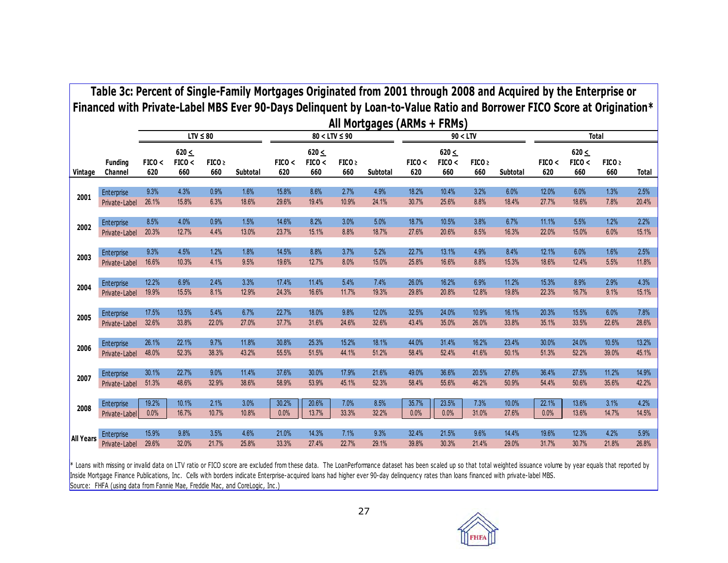|                  | Table 3c: Percent of Single-Family Mortgages Originated from 2001 through 2008 and Acquired by the Enterprise or<br>Financed with Private-Label MBS Ever 90-Days Delinguent by Loan-to-Value Ratio and Borrower FICO Score at Origination* |               |                             |                          |          |               |                             |                          | All Mortgages (ARMs + FRMs) |               |                             |               |          |               |                             |                          |              |
|------------------|--------------------------------------------------------------------------------------------------------------------------------------------------------------------------------------------------------------------------------------------|---------------|-----------------------------|--------------------------|----------|---------------|-----------------------------|--------------------------|-----------------------------|---------------|-----------------------------|---------------|----------|---------------|-----------------------------|--------------------------|--------------|
|                  |                                                                                                                                                                                                                                            |               |                             | $LTV \leq 80$            |          |               |                             | $80 < LTV \leq 90$       |                             |               | 90 < LTV                    |               |          |               |                             | <b>Total</b>             |              |
| Vintage          | <b>Funding</b><br>Channel                                                                                                                                                                                                                  | FICO <<br>620 | $620 \leq$<br>FICO <<br>660 | FICO <sub>2</sub><br>660 | Subtotal | FICO <<br>620 | $620 \leq$<br>FICO <<br>660 | FICO <sub>2</sub><br>660 | Subtotal                    | FICO <<br>620 | $620 \leq$<br>FICO <<br>660 | FICO ><br>660 | Subtotal | FICO <<br>620 | 620 $\leq$<br>FICO <<br>660 | FICO <sub>2</sub><br>660 | <b>Total</b> |
| 2001             | Enterprise                                                                                                                                                                                                                                 | 9.3%          | 4.3%                        | 0.9%                     | 1.6%     | 15.8%         | 8.6%                        | 2.7%                     | 4.9%                        | 18.2%         | 10.4%                       | 3.2%          | 6.0%     | 12.0%         | 6.0%                        | 1.3%                     | 2.5%         |
|                  | Private-Label                                                                                                                                                                                                                              | 26.1%         | 15.8%                       | 6.3%                     | 18.6%    | 29.6%         | 19.4%                       | 10.9%                    | 24.1%                       | 30.7%         | 25.6%                       | 8.8%          | 18.4%    | 27.7%         | 18.6%                       | 7.8%                     | 20.4%        |
| 2002             | Enterprise                                                                                                                                                                                                                                 | 8.5%          | 4.0%                        | 0.9%                     | 1.5%     | 14.6%         | 8.2%                        | 3.0%                     | 5.0%                        | 18.7%         | 10.5%                       | 3.8%          | 6.7%     | 11.1%         | 5.5%                        | 1.2%                     | 2.2%         |
|                  | Private-Label                                                                                                                                                                                                                              | 20.3%         | 12.7%                       | 4.4%                     | 13.0%    | 23.7%         | 15.1%                       | 8.8%                     | 18.7%                       | 27.6%         | 20.6%                       | 8.5%          | 16.3%    | 22.0%         | 15.0%                       | 6.0%                     | 15.1%        |
| 2003             | Enterprise                                                                                                                                                                                                                                 | 9.3%          | 4.5%                        | 1.2%                     | 1.8%     | 14.5%         | 8.8%                        | 3.7%                     | 5.2%                        | 22.7%         | 13.1%                       | 4.9%          | 8.4%     | 12.1%         | 6.0%                        | 1.6%                     | 2.5%         |
|                  | Private-Label                                                                                                                                                                                                                              | 16.6%         | 10.3%                       | 4.1%                     | 9.5%     | 19.6%         | 12.7%                       | 8.0%                     | 15.0%                       | 25.8%         | 16.6%                       | 8.8%          | 15.3%    | 18.6%         | 12.4%                       | 5.5%                     | 11.8%        |
| 2004             | Enterprise                                                                                                                                                                                                                                 | 12.2%         | 6.9%                        | 2.4%                     | 3.3%     | 17.4%         | 11.4%                       | 5.4%                     | 7.4%                        | 26.0%         | 16.2%                       | 6.9%          | 11.2%    | 15.3%         | 8.9%                        | 2.9%                     | 4.3%         |
|                  | Private-Label                                                                                                                                                                                                                              | 19.9%         | 15.5%                       | 8.1%                     | 12.9%    | 24.3%         | 16.6%                       | 11.7%                    | 19.3%                       | 29.8%         | 20.8%                       | 12.8%         | 19.8%    | 22.3%         | 16.7%                       | 9.1%                     | 15.1%        |
| 2005             | Enterprise                                                                                                                                                                                                                                 | 17.5%         | 13.5%                       | 5.4%                     | 6.7%     | 22.7%         | 18.0%                       | 9.8%                     | 12.0%                       | 32.5%         | 24.0%                       | 10.9%         | 16.1%    | 20.3%         | 15.5%                       | 6.0%                     | 7.8%         |
|                  | Private-Label                                                                                                                                                                                                                              | 32.6%         | 33.8%                       | 22.0%                    | 27.0%    | 37.7%         | 31.6%                       | 24.6%                    | 32.6%                       | 43.4%         | 35.0%                       | 26.0%         | 33.8%    | 35.1%         | 33.5%                       | 22.6%                    | 28.6%        |
| 2006             | Enterprise                                                                                                                                                                                                                                 | 26.1%         | 22.1%                       | 9.7%                     | 11.8%    | 30.8%         | 25.3%                       | 15.2%                    | 18.1%                       | 44.0%         | 31.4%                       | 16.2%         | 23.4%    | 30.0%         | 24.0%                       | 10.5%                    | 13.2%        |
|                  | Private-Label                                                                                                                                                                                                                              | 48.0%         | 52.3%                       | 38.3%                    | 43.2%    | 55.5%         | 51.5%                       | 44.1%                    | 51.2%                       | 58.4%         | 52.4%                       | 41.6%         | 50.1%    | 51.3%         | 52.2%                       | 39.0%                    | 45.1%        |
| 2007             | Enterprise                                                                                                                                                                                                                                 | 30.1%         | 22.7%                       | 9.0%                     | 11.4%    | 37.6%         | 30.0%                       | 17.9%                    | 21.6%                       | 49.0%         | 36.6%                       | 20.5%         | 27.6%    | 36.4%         | 27.5%                       | 11.2%                    | 14.9%        |
|                  | Private-Label                                                                                                                                                                                                                              | 51.3%         | 48.6%                       | 32.9%                    | 38.6%    | 58.9%         | 53.9%                       | 45.1%                    | 52.3%                       | 58.4%         | 55.6%                       | 46.2%         | 50.9%    | 54.4%         | 50.6%                       | 35.6%                    | 42.2%        |
| 2008             | Enterprise                                                                                                                                                                                                                                 | 19.2%         | 10.1%                       | 2.1%                     | 3.0%     | 30.2%         | 20.6%                       | 7.0%                     | 8.5%                        | 35.7%         | 23.5%                       | 7.3%          | 10.0%    | 22.1%         | 13.6%                       | 3.1%                     | 4.2%         |
|                  | Private-Label                                                                                                                                                                                                                              | 0.0%          | 16.7%                       | 10.7%                    | 10.8%    | 0.0%          | 13.7%                       | 33.3%                    | 32.2%                       | 0.0%          | 0.0%                        | 31.0%         | 27.6%    | 0.0%          | 13.6%                       | 14.7%                    | 14.5%        |
| <b>All Years</b> | Enterprise                                                                                                                                                                                                                                 | 15.9%         | 9.8%                        | 3.5%                     | 4.6%     | 21.0%         | 14.3%                       | 7.1%                     | 9.3%                        | 32.4%         | 21.5%                       | 9.6%          | 14.4%    | 19.6%         | 12.3%                       | 4.2%                     | 5.9%         |
|                  | Private-Label                                                                                                                                                                                                                              | 29.6%         | 32.0%                       | 21.7%                    | 25.8%    | 33.3%         | 27.4%                       | 22.7%                    | 29.1%                       | 39.8%         | 30.3%                       | 21.4%         | 29.0%    | 31.7%         | 30.7%                       | 21.8%                    | 26.8%        |

Source: FHFA (using data from Fannie Mae, Freddie Mac, and CoreLogic, Inc.)  $*$  Loans with missing or invalid data on LTV ratio or FICO score are excluded from these data. The LoanPerformance dataset has been scaled up so that total weighted issuance volume by year equals that reported by Inside Mortgage Finance Publications, Inc . Cells with borders indicate Enterprise-acquired loans had higher ever 90-day delinquency rates than loans financed with private-label MBS.

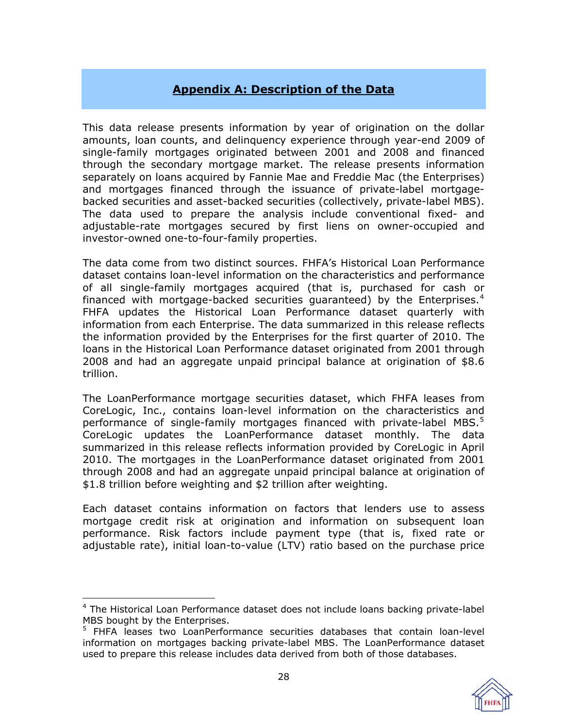# **Appendix A: Description of the Data**

<span id="page-27-0"></span>This data release presents information by year of origination on the dollar amounts, loan counts, and delinquency experience through year-end 2009 of single-family mortgages originated between 2001 and 2008 and financed through the secondary mortgage market. The release presents information separately on loans acquired by Fannie Mae and Freddie Mac (the Enterprises) and mortgages financed through the issuance of private-label mortgagebacked securities and asset-backed securities (collectively, private-label MBS). The data used to prepare the analysis include conventional fixed- and adjustable-rate mortgages secured by first liens on owner-occupied and investor-owned one-to-four-family properties.

The data come from two distinct sources. FHFA's Historical Loan Performance dataset contains loan-level information on the characteristics and performance of all single-family mortgages acquired (that is, purchased for cash or financed with mortgage-backed securities guaranteed) by the Enterprises.<sup>4</sup> FHFA updates the Historical Loan Performance dataset quarterly with information from each Enterprise. The data summarized in this release reflects the information provided by the Enterprises for the first quarter of 2010. The loans in the Historical Loan Performance dataset originated from 2001 through 2008 and had an aggregate unpaid principal balance at origination of \$8.6 trillion.

The LoanPerformance mortgage securities dataset, which FHFA leases from CoreLogic, Inc., contains loan-level information on the characteristics and performance of single-family mortgages financed with private-label MBS.<sup>5</sup> CoreLogic updates the LoanPerformance dataset monthly. The data summarized in this release reflects information provided by CoreLogic in April 2010. The mortgages in the LoanPerformance dataset originated from 2001 through 2008 and had an aggregate unpaid principal balance at origination of \$1.8 trillion before weighting and \$2 trillion after weighting.

Each dataset contains information on factors that lenders use to assess mortgage credit risk at origination and information on subsequent loan performance. Risk factors include payment type (that is, fixed rate or adjustable rate), initial loan-to-value (LTV) ratio based on the purchase price

 $\overline{a}$ 

<sup>&</sup>lt;sup>5</sup> FHFA leases two LoanPerformance securities databases that contain loan-level information on mortgages backing private-label MBS. The LoanPerformance dataset used to prepare this release includes data derived from both of those databases.



<sup>&</sup>lt;sup>4</sup> The Historical Loan Performance dataset does not include loans backing private-label MBS bought by the Enterprises.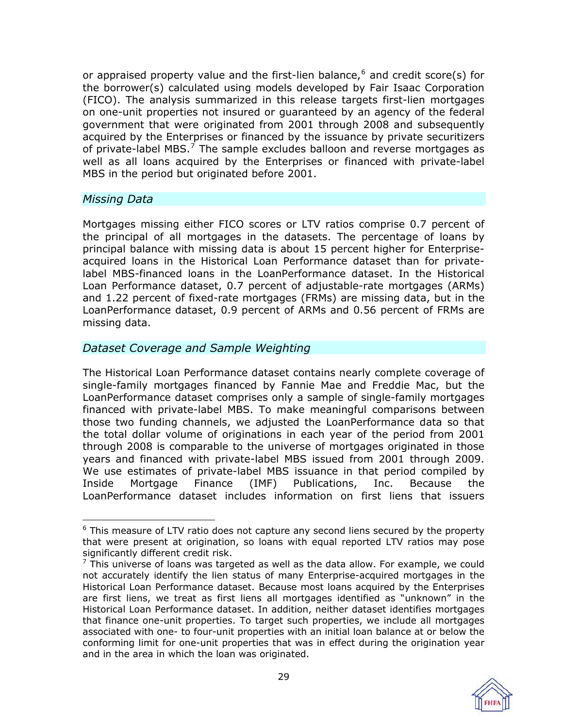or appraised property value and the first-lien balance, $6$  and credit score(s) for the borrower(s) calculated using models developed by Fair Isaac Corporation (FICO). The analysis summarized in this release targets first-lien mortgages on one-unit properties not insured or guaranteed by an agency of the federal government that were originated from 2001 through 2008 and subsequently acquired by the Enterprises or financed by the issuance by private securitizers of private-label MBS. $<sup>7</sup>$  The sample excludes balloon and reverse mortgages as</sup> well as all loans acquired by the Enterprises or financed with private-label MBS in the period but originated before 2001.

# *Missing Data*

 $\overline{a}$ 

Mortgages missing either FICO scores or LTV ratios comprise 0.7 percent of the principal of all mortgages in the datasets. The percentage of loans by principal balance with missing data is about 15 percent higher for Enterpriseacquired loans in the Historical Loan Performance dataset than for privatelabel MBS-financed loans in the LoanPerformance dataset. In the Historical Loan Performance dataset, 0.7 percent of adjustable-rate mortgages (ARMs) and 1.22 percent of fixed-rate mortgages (FRMs) are missing data, but in the LoanPerformance dataset, 0.9 percent of ARMs and 0.56 percent of FRMs are missing data.

### *Dataset Coverage and Sample Weighting*

The Historical Loan Performance dataset contains nearly complete coverage of single-family mortgages financed by Fannie Mae and Freddie Mac, but the LoanPerformance dataset comprises only a sample of single-family mortgages financed with private-label MBS. To make meaningful comparisons between those two funding channels, we adjusted the LoanPerformance data so that the total dollar volume of originations in each year of the period from 2001 through 2008 is comparable to the universe of mortgages originated in those years and financed with private-label MBS issued from 2001 through 2009. We use estimates of private-label MBS issuance in that period compiled by Inside Mortgage Finance (IMF) Publications, Inc. Because the LoanPerformance dataset includes information on first liens that issuers

 $<sup>7</sup>$  This universe of loans was targeted as well as the data allow. For example, we could</sup> not accurately identify the lien status of many Enterprise-acquired mortgages in the Historical Loan Performance dataset. Because most loans acquired by the Enterprises are first liens, we treat as first liens all mortgages identified as "unknown" in the Historical Loan Performance dataset. In addition, neither dataset identifies mortgages that finance one-unit properties. To target such properties, we include all mortgages associated with one- to four-unit properties with an initial loan balance at or below the conforming limit for one-unit properties that was in effect during the origination year and in the area in which the loan was originated.



<sup>&</sup>lt;sup>6</sup> This measure of LTV ratio does not capture any second liens secured by the property that were present at origination, so loans with equal reported LTV ratios may pose significantly different credit risk.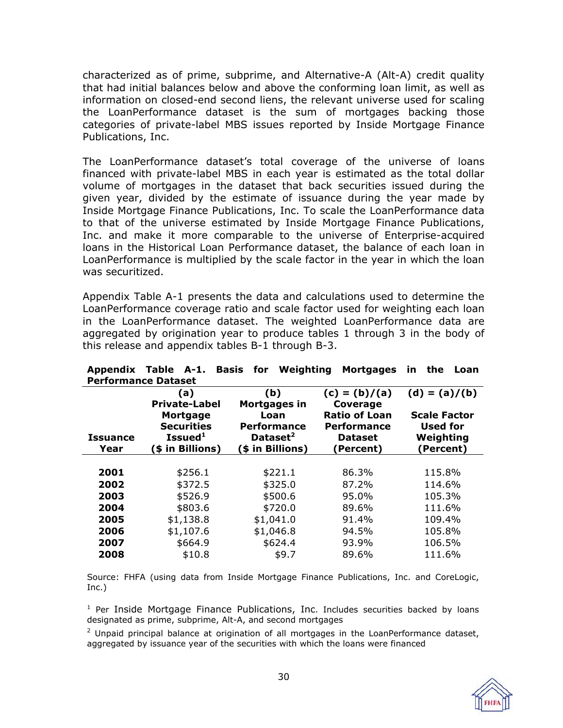characterized as of prime, subprime, and Alternative-A (Alt-A) credit quality that had initial balances below and above the conforming loan limit, as well as information on closed-end second liens, the relevant universe used for scaling the LoanPerformance dataset is the sum of mortgages backing those categories of private-label MBS issues reported by Inside Mortgage Finance Publications, Inc.

The LoanPerformance dataset's total coverage of the universe of loans financed with private-label MBS in each year is estimated as the total dollar volume of mortgages in the dataset that back securities issued during the given year, divided by the estimate of issuance during the year made by Inside Mortgage Finance Publications, Inc. To scale the LoanPerformance data to that of the universe estimated by Inside Mortgage Finance Publications, Inc. and make it more comparable to the universe of Enterprise-acquired loans in the Historical Loan Performance dataset, the balance of each loan in LoanPerformance is multiplied by the scale factor in the year in which the loan was securitized.

Appendix Table A-1 presents the data and calculations used to determine the LoanPerformance coverage ratio and scale factor used for weighting each loan in the LoanPerformance dataset. The weighted LoanPerformance data are aggregated by origination year to produce tables 1 through 3 in the body of this release and appendix tables B-1 through B-3.

| Performance Dataset |                                      |                            |                                            |                                 |
|---------------------|--------------------------------------|----------------------------|--------------------------------------------|---------------------------------|
|                     | (a)<br><b>Private-Label</b>          | (b)<br>Mortgages in        | $(c) = (b)/(a)$<br>Coverage                | $(d) = (a)/(b)$                 |
|                     | <b>Mortgage</b><br><b>Securities</b> | Loan<br><b>Performance</b> | <b>Ratio of Loan</b><br><b>Performance</b> | <b>Scale Factor</b><br>Used for |
| <b>Issuance</b>     | Issued <sup>1</sup>                  | Dataset <sup>2</sup>       | <b>Dataset</b>                             | Weighting                       |
| Year                | (\$ in Billions)                     | (\$ in Billions)           | (Percent)                                  | Percent)                        |
|                     |                                      |                            |                                            |                                 |
| 2001                | \$256.1                              | \$221.1                    | 86.3%                                      | 115.8%                          |
| 2002                | \$372.5                              | \$325.0                    | 87.2%                                      | 114.6%                          |
| 2003                | \$526.9                              | \$500.6                    | 95.0%                                      | 105.3%                          |
| 2004                | \$803.6                              | \$720.0                    | 89.6%                                      | 111.6%                          |
| 2005                | \$1,138.8                            | \$1,041.0                  | 91.4%                                      | 109.4%                          |
| 2006                | \$1,107.6                            | \$1,046.8                  | 94.5%                                      | 105.8%                          |
| 2007                | \$664.9                              | \$624.4                    | 93.9%                                      | 106.5%                          |
| 2008                | \$10.8                               | \$9.7                      | 89.6%                                      | 111.6%                          |

|                            |  |  | Appendix Table A-1. Basis for Weighting Mortgages in the Loan |  |  |
|----------------------------|--|--|---------------------------------------------------------------|--|--|
| <b>Performance Dataset</b> |  |  |                                                               |  |  |

Source: FHFA (using data from Inside Mortgage Finance Publications, Inc. and CoreLogic, Inc.)

<sup>1</sup> Per Inside Mortgage Finance Publications, Inc. Includes securities backed by loans designated as prime, subprime, Alt-A, and second mortgages

 $2$  Unpaid principal balance at origination of all mortgages in the LoanPerformance dataset, aggregated by issuance year of the securities with which the loans were financed

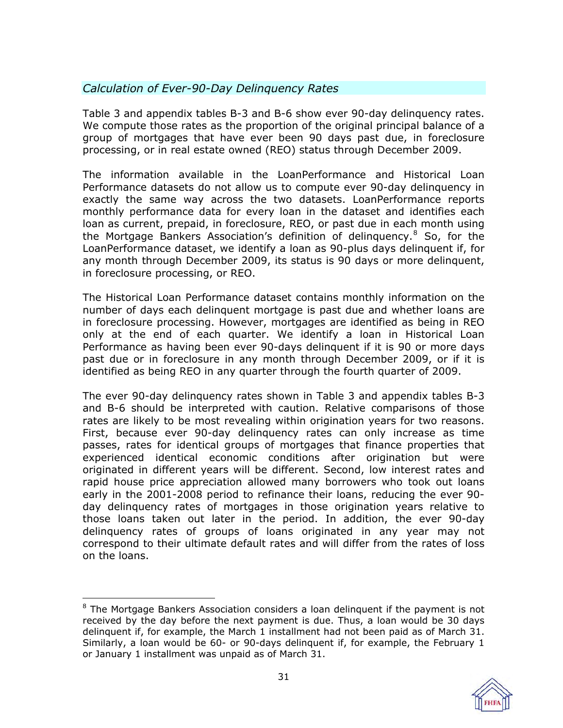# *Calculation of Ever-90-Day Delinquency Rates*

Table 3 and appendix tables B-3 and B-6 show ever 90-day delinquency rates. We compute those rates as the proportion of the original principal balance of a group of mortgages that have ever been 90 days past due, in foreclosure processing, or in real estate owned (REO) status through December 2009.

The information available in the LoanPerformance and Historical Loan Performance datasets do not allow us to compute ever 90-day delinquency in exactly the same way across the two datasets. LoanPerformance reports monthly performance data for every loan in the dataset and identifies each loan as current, prepaid, in foreclosure, REO, or past due in each month using the Mortgage Bankers Association's definition of delinquency. $8$  So, for the LoanPerformance dataset, we identify a loan as 90-plus days delinquent if, for any month through December 2009, its status is 90 days or more delinquent, in foreclosure processing, or REO.

The Historical Loan Performance dataset contains monthly information on the number of days each delinquent mortgage is past due and whether loans are in foreclosure processing. However, mortgages are identified as being in REO only at the end of each quarter. We identify a loan in Historical Loan Performance as having been ever 90-days delinquent if it is 90 or more days past due or in foreclosure in any month through December 2009, or if it is identified as being REO in any quarter through the fourth quarter of 2009.

The ever 90-day delinquency rates shown in Table 3 and appendix tables B-3 and B-6 should be interpreted with caution. Relative comparisons of those rates are likely to be most revealing within origination years for two reasons. First, because ever 90-day delinquency rates can only increase as time passes, rates for identical groups of mortgages that finance properties that experienced identical economic conditions after origination but were originated in different years will be different. Second, low interest rates and rapid house price appreciation allowed many borrowers who took out loans early in the 2001-2008 period to refinance their loans, reducing the ever 90 day delinquency rates of mortgages in those origination years relative to those loans taken out later in the period. In addition, the ever 90-day delinquency rates of groups of loans originated in any year may not correspond to their ultimate default rates and will differ from the rates of loss on the loans.

 $\overline{a}$ <sup>8</sup> The Mortgage Bankers Association considers a loan delinquent if the payment is not received by the day before the next payment is due. Thus, a loan would be 30 days delinquent if, for example, the March 1 installment had not been paid as of March 31. Similarly, a loan would be 60- or 90-days delinquent if, for example, the February 1 or January 1 installment was unpaid as of March 31.

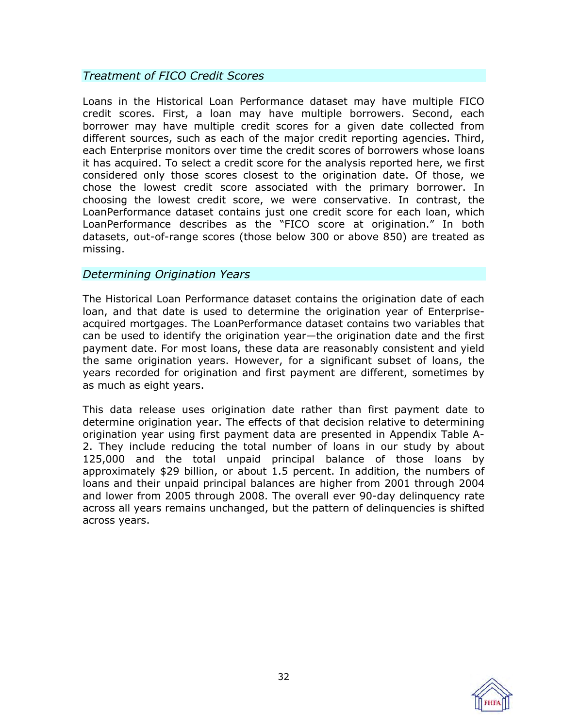# *Treatment of FICO Credit Scores*

Loans in the Historical Loan Performance dataset may have multiple FICO credit scores. First, a loan may have multiple borrowers. Second, each borrower may have multiple credit scores for a given date collected from different sources, such as each of the major credit reporting agencies. Third, each Enterprise monitors over time the credit scores of borrowers whose loans it has acquired. To select a credit score for the analysis reported here, we first considered only those scores closest to the origination date. Of those, we chose the lowest credit score associated with the primary borrower. In choosing the lowest credit score, we were conservative. In contrast, the LoanPerformance dataset contains just one credit score for each loan, which LoanPerformance describes as the "FICO score at origination." In both datasets, out-of-range scores (those below 300 or above 850) are treated as missing.

# *Determining Origination Years*

The Historical Loan Performance dataset contains the origination date of each loan, and that date is used to determine the origination year of Enterpriseacquired mortgages. The LoanPerformance dataset contains two variables that can be used to identify the origination year—the origination date and the first payment date. For most loans, these data are reasonably consistent and yield the same origination years. However, for a significant subset of loans, the years recorded for origination and first payment are different, sometimes by as much as eight years.

This data release uses origination date rather than first payment date to determine origination year. The effects of that decision relative to determining origination year using first payment data are presented in Appendix Table A-2. They include reducing the total number of loans in our study by about 125,000 and the total unpaid principal balance of those loans by approximately \$29 billion, or about 1.5 percent. In addition, the numbers of loans and their unpaid principal balances are higher from 2001 through 2004 and lower from 2005 through 2008. The overall ever 90-day delinquency rate across all years remains unchanged, but the pattern of delinquencies is shifted across years.

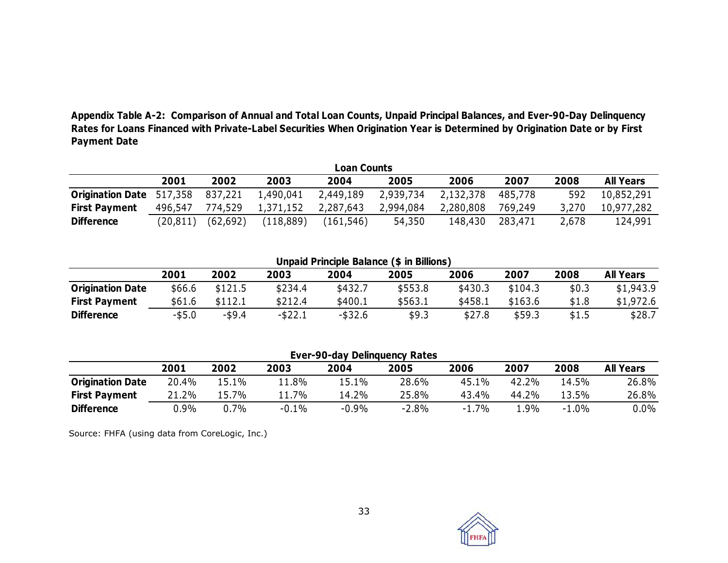**Appendix Table A-2: Comparison of Annual and Total Loan Counts, Unpaid Principal Balances, and Ever-90-Day Delinquency Rates for Loans Financed with Private-Label Securities When Origination Year is Determined by Origination Date or by First Payment Date** 

|                                 |          |           |            | <b>Loan Counts</b> |           |           |         |       |                  |
|---------------------------------|----------|-----------|------------|--------------------|-----------|-----------|---------|-------|------------------|
|                                 | 2001     | 2002      | 2003       | 2004               | 2005      | 2006      | 2007    | 2008  | <b>All Years</b> |
| <b>Origination Date</b> 517,358 |          | 837,221   | 1,490,041  | 2,449,189          | 2,939,734 | 2,132,378 | 485,778 | 592   | 10,852,291       |
| <b>First Payment</b>            | 496,547  | 774,529   | 1,371,152  | 2,287,643          | 2,994,084 | 2,280,808 | 769,249 | 3,270 | 10,977,282       |
| <b>Difference</b>               | (20,811) | (62, 692) | (118, 889) | (161, 546)         | 54,350    | 148,430   | 283,471 | 2,678 | 124,991          |

**Unpaid Principle Balance (\$ in Billions)**

|                         | 2001   | 2002      | 2003       | 2004       | 2005    | 2006    | 2007    | 2008  | <b>All Years</b> |
|-------------------------|--------|-----------|------------|------------|---------|---------|---------|-------|------------------|
| <b>Origination Date</b> | \$66.6 | \$121.5   | \$234.4    | \$432.7    | \$553.8 | \$430.3 | \$104.3 | \$0.3 | \$1,943.9        |
| <b>First Payment</b>    | \$61.6 | \$112.1   | \$212.4    | \$400.1    | \$563.1 | \$458.1 | \$163.6 | \$1.8 | \$1,972.6        |
| <b>Difference</b>       | -\$5.0 | $-$ \$9.4 | $-$ \$22.1 | $-$ \$32.6 | \$9.3   | \$27.8  | \$59.3  | \$1.5 | \$28.7           |

| <b>Ever-90-day Delinguency Rates</b> |       |       |         |         |         |         |       |         |                  |  |
|--------------------------------------|-------|-------|---------|---------|---------|---------|-------|---------|------------------|--|
|                                      | 2001  | 2002  | 2003    | 2004    | 2005    | 2006    | 2007  | 2008    | <b>All Years</b> |  |
| <b>Origination Date</b>              | 20.4% | 5.1%! | 11.8%   | L5.1%   | 28.6%   | 45.1%   | 42.2% | 14.5%   | 26.8%            |  |
| <b>First Payment</b>                 | 21.2% | 15.7% | $1.7\%$ | 14.2%   | 25.8%   | 43.4%   | 44.2% | 13.5%   | 26.8%            |  |
| <b>Difference</b>                    | 0.9%  | 0.7%  | $-0.1%$ | $-0.9%$ | $-2.8%$ | $-1.7%$ | l.9%  | $-1.0%$ | $0.0\%$          |  |

Source: FHFA (using data from CoreLogic, Inc.)

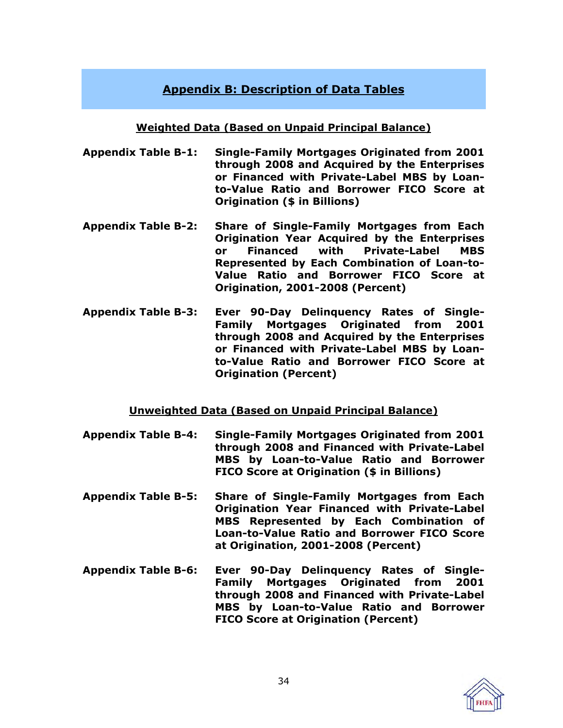# **Appendix B: Description of Data Tables**

# **Weighted Data (Based on Unpaid Principal Balance)**

- <span id="page-33-0"></span>**[Appendix Table B-1:](www.fhfa.gov/webfiles/16703/AppendixTableB1.xls) Single-Family Mortgages Originated from 2001 through 2008 and Acquired by the Enterprises or Financed with Private-Label MBS by Loanto-Value Ratio and Borrower FICO Score at Origination (\$ in Billions)**
- **[Appendix Table B-2:](www.fhfa.gov/webfiles/16704/AppendixTableB2.xls) Share of Single-Family Mortgages from Each Origination Year Acquired by the Enterprises or Financed with Private-Label MBS Represented by Each Combination of Loan-to-Value Ratio and Borrower FICO Score at Origination, 2001-2008 (Percent)**
- **[Appendix Table B-3:](www.fhfa.gov/webfiles/16705/AppendixTableB3.xls) Ever 90-Day Delinquency Rates of Single-Family Mortgages Originated from 2001 through 2008 and Acquired by the Enterprises or Financed with Private-Label MBS by Loanto-Value Ratio and Borrower FICO Score at Origination (Percent)**

# **Unweighted Data (Based on Unpaid Principal Balance)**

- **[Appendix Table B-4:](www.fhfa.gov/webfiles/16706/AppendixTableB4.xls) Single-Family Mortgages Originated from 2001 through 2008 and Financed with Private-Label MBS by Loan-to-Value Ratio and Borrower FICO Score at Origination (\$ in Billions)**
- **[Appendix Table B-5:](www.fhfa.gov/webfiles/16707/AppendixTableB5.xls) Share of Single-Family Mortgages from Each Origination Year Financed with Private-Label MBS Represented by Each Combination of Loan-to-Value Ratio and Borrower FICO Score at Origination, 2001-2008 (Percent)**
- **[Appendix Table B-6: E](www.fhfa.gov/webfiles/16708/AppendixTableB6.xls)ver 90-Day Delinquency Rates of Single-Family Mortgages Originated from 2001 through 2008 and Financed with Private-Label MBS by Loan-to-Value Ratio and Borrower FICO Score at Origination (Percent)**

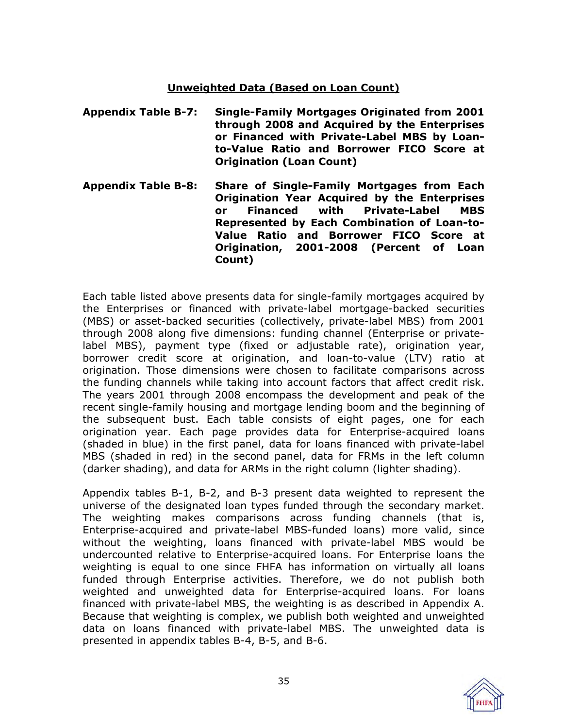# **Unweighted Data (Based on Loan Count)**

- **[Appendix Table B-7:](www.fhfa.gov/webfiles/16709/AppendixTableB7.xls) Single-Family Mortgages Originated from 2001 through 2008 and Acquired by the Enterprises or Financed with Private-Label MBS by Loanto-Value Ratio and Borrower FICO Score at Origination (Loan Count)**
- **[Appendix Table B-8:](www.fhfa.gov/webfiles/16710/AppendixTableB8.xls) Share of Single-Family Mortgages from Each Origination Year Acquired by the Enterprises or Financed with Private-Label MBS Represented by Each Combination of Loan-to-Value Ratio and Borrower FICO Score at Origination, 2001-2008 (Percent of Loan Count)**

Each table listed above presents data for single-family mortgages acquired by the Enterprises or financed with private-label mortgage-backed securities (MBS) or asset-backed securities (collectively, private-label MBS) from 2001 through 2008 along five dimensions: funding channel (Enterprise or privatelabel MBS), payment type (fixed or adjustable rate), origination year, borrower credit score at origination, and loan-to-value (LTV) ratio at origination. Those dimensions were chosen to facilitate comparisons across the funding channels while taking into account factors that affect credit risk. The years 2001 through 2008 encompass the development and peak of the recent single-family housing and mortgage lending boom and the beginning of the subsequent bust. Each table consists of eight pages, one for each origination year. Each page provides data for Enterprise-acquired loans (shaded in blue) in the first panel, data for loans financed with private-label MBS (shaded in red) in the second panel, data for FRMs in the left column (darker shading), and data for ARMs in the right column (lighter shading).

Appendix tables B-1, B-2, and B-3 present data weighted to represent the universe of the designated loan types funded through the secondary market. The weighting makes comparisons across funding channels (that is, Enterprise-acquired and private-label MBS-funded loans) more valid, since without the weighting, loans financed with private-label MBS would be undercounted relative to Enterprise-acquired loans. For Enterprise loans the weighting is equal to one since FHFA has information on virtually all loans funded through Enterprise activities. Therefore, we do not publish both weighted and unweighted data for Enterprise-acquired loans. For loans financed with private-label MBS, the weighting is as described in Appendix A. Because that weighting is complex, we publish both weighted and unweighted data on loans financed with private-label MBS. The unweighted data is presented in appendix tables B-4, B-5, and B-6.